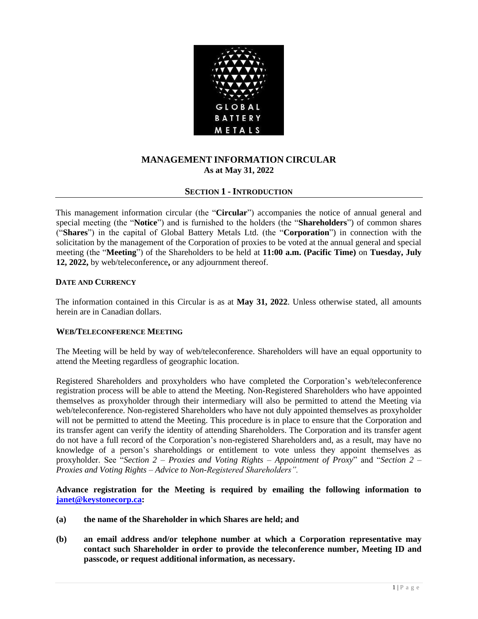

# **MANAGEMENT INFORMATION CIRCULAR As at May 31, 2022**

# **SECTION 1 - INTRODUCTION**

This management information circular (the "**Circular**") accompanies the notice of annual general and special meeting (the "**Notice**") and is furnished to the holders (the "**Shareholders**") of common shares ("**Shares**") in the capital of Global Battery Metals Ltd. (the "**Corporation**") in connection with the solicitation by the management of the Corporation of proxies to be voted at the annual general and special meeting (the "**Meeting**") of the Shareholders to be held at **11:00 a.m. (Pacific Time)** on **Tuesday, July 12, 2022,** by web/teleconference**,** or any adjournment thereof.

# **DATE AND CURRENCY**

The information contained in this Circular is as at **May 31, 2022**. Unless otherwise stated, all amounts herein are in Canadian dollars.

# **WEB/TELECONFERENCE MEETING**

The Meeting will be held by way of web/teleconference. Shareholders will have an equal opportunity to attend the Meeting regardless of geographic location.

Registered Shareholders and proxyholders who have completed the Corporation's web/teleconference registration process will be able to attend the Meeting. Non-Registered Shareholders who have appointed themselves as proxyholder through their intermediary will also be permitted to attend the Meeting via web/teleconference. Non-registered Shareholders who have not duly appointed themselves as proxyholder will not be permitted to attend the Meeting. This procedure is in place to ensure that the Corporation and its transfer agent can verify the identity of attending Shareholders. The Corporation and its transfer agent do not have a full record of the Corporation's non-registered Shareholders and, as a result, may have no knowledge of a person's shareholdings or entitlement to vote unless they appoint themselves as proxyholder. See "*Section 2 – Proxies and Voting Rights – Appointment of Proxy*" and "*Section 2 – Proxies and Voting Rights – Advice to Non-Registered Shareholders".*

**Advance registration for the Meeting is required by emailing the following information to [janet@keystonecorp.ca:](mailto:janet@keystonecorp.ca)** 

- **(a) the name of the Shareholder in which Shares are held; and**
- **(b) an email address and/or telephone number at which a Corporation representative may contact such Shareholder in order to provide the teleconference number, Meeting ID and passcode, or request additional information, as necessary.**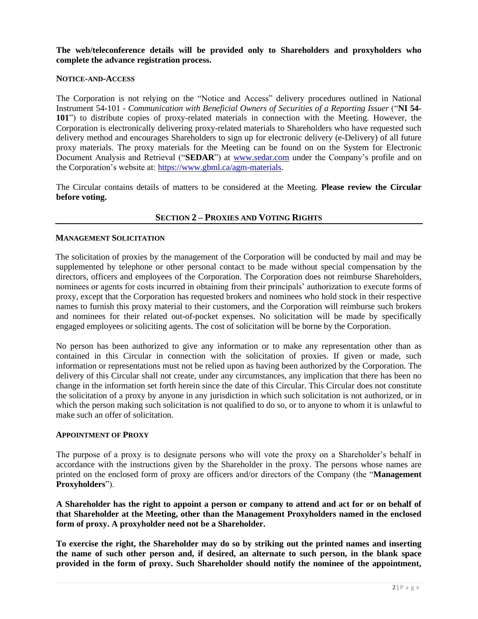**The web/teleconference details will be provided only to Shareholders and proxyholders who complete the advance registration process.**

#### **NOTICE-AND-ACCESS**

The Corporation is not relying on the "Notice and Access" delivery procedures outlined in National Instrument 54-101 - *[Communication with Beneficial Owners of Securities of a Reporting Issuer](http://www.osc.gov.on.ca/en/6439.htm)* ("**NI 54- 101**") to distribute copies of proxy-related materials in connection with the Meeting. However, the Corporation is electronically delivering proxy-related materials to Shareholders who have requested such delivery method and encourages Shareholders to sign up for electronic delivery (e-Delivery) of all future proxy materials. The proxy materials for the Meeting can be found on on the System for Electronic Document Analysis and Retrieval ("**SEDAR**") at [www.sedar.com](http://www.sedar.com/) under the Company's profile and on the Corporation's website at: [https://www.gbml.ca/agm-materials.](https://www.gbml.ca/agm-materials)

The Circular contains details of matters to be considered at the Meeting. **Please review the Circular before voting.**

# **SECTION 2 – PROXIES AND VOTING RIGHTS**

### **MANAGEMENT SOLICITATION**

The solicitation of proxies by the management of the Corporation will be conducted by mail and may be supplemented by telephone or other personal contact to be made without special compensation by the directors, officers and employees of the Corporation. The Corporation does not reimburse Shareholders, nominees or agents for costs incurred in obtaining from their principals' authorization to execute forms of proxy, except that the Corporation has requested brokers and nominees who hold stock in their respective names to furnish this proxy material to their customers, and the Corporation will reimburse such brokers and nominees for their related out-of-pocket expenses. No solicitation will be made by specifically engaged employees or soliciting agents. The cost of solicitation will be borne by the Corporation.

No person has been authorized to give any information or to make any representation other than as contained in this Circular in connection with the solicitation of proxies. If given or made, such information or representations must not be relied upon as having been authorized by the Corporation. The delivery of this Circular shall not create, under any circumstances, any implication that there has been no change in the information set forth herein since the date of this Circular. This Circular does not constitute the solicitation of a proxy by anyone in any jurisdiction in which such solicitation is not authorized, or in which the person making such solicitation is not qualified to do so, or to anyone to whom it is unlawful to make such an offer of solicitation.

#### **APPOINTMENT OF PROXY**

The purpose of a proxy is to designate persons who will vote the proxy on a Shareholder's behalf in accordance with the instructions given by the Shareholder in the proxy. The persons whose names are printed on the enclosed form of proxy are officers and/or directors of the Company (the "**Management Proxyholders**").

**A Shareholder has the right to appoint a person or company to attend and act for or on behalf of that Shareholder at the Meeting, other than the Management Proxyholders named in the enclosed form of proxy. A proxyholder need not be a Shareholder.**

**To exercise the right, the Shareholder may do so by striking out the printed names and inserting the name of such other person and, if desired, an alternate to such person, in the blank space provided in the form of proxy. Such Shareholder should notify the nominee of the appointment,**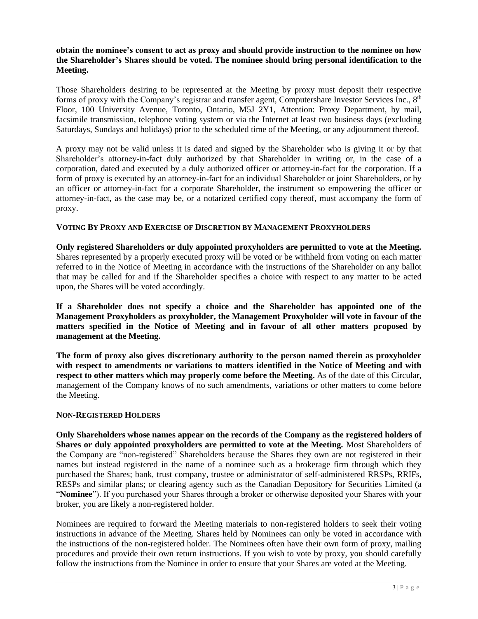# **obtain the nominee's consent to act as proxy and should provide instruction to the nominee on how the Shareholder's Shares should be voted. The nominee should bring personal identification to the Meeting.**

Those Shareholders desiring to be represented at the Meeting by proxy must deposit their respective forms of proxy with the Company's registrar and transfer agent, Computershare Investor Services Inc., 8<sup>th</sup> Floor, 100 University Avenue, Toronto, Ontario, M5J 2Y1, Attention: Proxy Department, by mail, facsimile transmission, telephone voting system or via the Internet at least two business days (excluding Saturdays, Sundays and holidays) prior to the scheduled time of the Meeting, or any adjournment thereof.

A proxy may not be valid unless it is dated and signed by the Shareholder who is giving it or by that Shareholder's attorney-in-fact duly authorized by that Shareholder in writing or, in the case of a corporation, dated and executed by a duly authorized officer or attorney-in-fact for the corporation. If a form of proxy is executed by an attorney-in-fact for an individual Shareholder or joint Shareholders, or by an officer or attorney-in-fact for a corporate Shareholder, the instrument so empowering the officer or attorney-in-fact, as the case may be, or a notarized certified copy thereof, must accompany the form of proxy.

# **VOTING BY PROXY AND EXERCISE OF DISCRETION BY MANAGEMENT PROXYHOLDERS**

**Only registered Shareholders or duly appointed proxyholders are permitted to vote at the Meeting.**  Shares represented by a properly executed proxy will be voted or be withheld from voting on each matter referred to in the Notice of Meeting in accordance with the instructions of the Shareholder on any ballot that may be called for and if the Shareholder specifies a choice with respect to any matter to be acted upon, the Shares will be voted accordingly.

**If a Shareholder does not specify a choice and the Shareholder has appointed one of the Management Proxyholders as proxyholder, the Management Proxyholder will vote in favour of the matters specified in the Notice of Meeting and in favour of all other matters proposed by management at the Meeting.** 

**The form of proxy also gives discretionary authority to the person named therein as proxyholder with respect to amendments or variations to matters identified in the Notice of Meeting and with respect to other matters which may properly come before the Meeting.** As of the date of this Circular, management of the Company knows of no such amendments, variations or other matters to come before the Meeting.

# **NON-REGISTERED HOLDERS**

**Only Shareholders whose names appear on the records of the Company as the registered holders of Shares or duly appointed proxyholders are permitted to vote at the Meeting.** Most Shareholders of the Company are "non-registered" Shareholders because the Shares they own are not registered in their names but instead registered in the name of a nominee such as a brokerage firm through which they purchased the Shares; bank, trust company, trustee or administrator of self-administered RRSPs, RRIFs, RESPs and similar plans; or clearing agency such as the Canadian Depository for Securities Limited (a "**Nominee**"). If you purchased your Shares through a broker or otherwise deposited your Shares with your broker, you are likely a non-registered holder.

Nominees are required to forward the Meeting materials to non-registered holders to seek their voting instructions in advance of the Meeting. Shares held by Nominees can only be voted in accordance with the instructions of the non-registered holder. The Nominees often have their own form of proxy, mailing procedures and provide their own return instructions. If you wish to vote by proxy, you should carefully follow the instructions from the Nominee in order to ensure that your Shares are voted at the Meeting.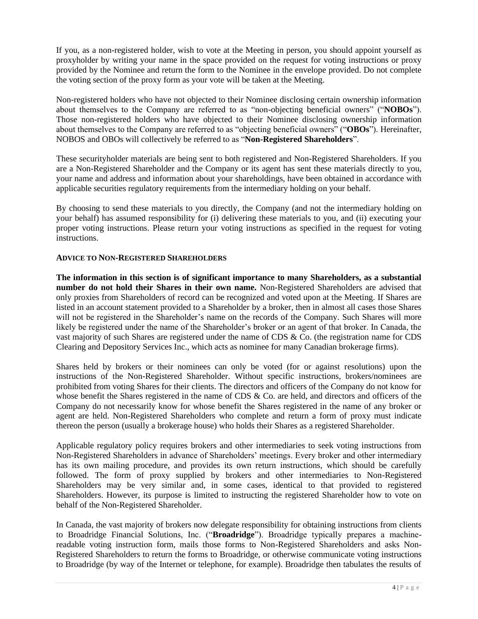If you, as a non-registered holder, wish to vote at the Meeting in person, you should appoint yourself as proxyholder by writing your name in the space provided on the request for voting instructions or proxy provided by the Nominee and return the form to the Nominee in the envelope provided. Do not complete the voting section of the proxy form as your vote will be taken at the Meeting.

Non-registered holders who have not objected to their Nominee disclosing certain ownership information about themselves to the Company are referred to as "non-objecting beneficial owners" ("**NOBOs**"). Those non-registered holders who have objected to their Nominee disclosing ownership information about themselves to the Company are referred to as "objecting beneficial owners" ("**OBOs**"). Hereinafter, NOBOS and OBOs will collectively be referred to as "**Non-Registered Shareholders**".

These securityholder materials are being sent to both registered and Non-Registered Shareholders. If you are a Non-Registered Shareholder and the Company or its agent has sent these materials directly to you, your name and address and information about your shareholdings, have been obtained in accordance with applicable securities regulatory requirements from the intermediary holding on your behalf.

By choosing to send these materials to you directly, the Company (and not the intermediary holding on your behalf) has assumed responsibility for (i) delivering these materials to you, and (ii) executing your proper voting instructions. Please return your voting instructions as specified in the request for voting instructions.

# **ADVICE TO NON-REGISTERED SHAREHOLDERS**

**The information in this section is of significant importance to many Shareholders, as a substantial number do not hold their Shares in their own name.** Non-Registered Shareholders are advised that only proxies from Shareholders of record can be recognized and voted upon at the Meeting. If Shares are listed in an account statement provided to a Shareholder by a broker, then in almost all cases those Shares will not be registered in the Shareholder's name on the records of the Company. Such Shares will more likely be registered under the name of the Shareholder's broker or an agent of that broker. In Canada, the vast majority of such Shares are registered under the name of CDS & Co. (the registration name for CDS Clearing and Depository Services Inc., which acts as nominee for many Canadian brokerage firms).

Shares held by brokers or their nominees can only be voted (for or against resolutions) upon the instructions of the Non-Registered Shareholder. Without specific instructions, brokers/nominees are prohibited from voting Shares for their clients. The directors and officers of the Company do not know for whose benefit the Shares registered in the name of CDS & Co. are held, and directors and officers of the Company do not necessarily know for whose benefit the Shares registered in the name of any broker or agent are held. Non-Registered Shareholders who complete and return a form of proxy must indicate thereon the person (usually a brokerage house) who holds their Shares as a registered Shareholder.

Applicable regulatory policy requires brokers and other intermediaries to seek voting instructions from Non-Registered Shareholders in advance of Shareholders' meetings. Every broker and other intermediary has its own mailing procedure, and provides its own return instructions, which should be carefully followed. The form of proxy supplied by brokers and other intermediaries to Non-Registered Shareholders may be very similar and, in some cases, identical to that provided to registered Shareholders. However, its purpose is limited to instructing the registered Shareholder how to vote on behalf of the Non-Registered Shareholder.

In Canada, the vast majority of brokers now delegate responsibility for obtaining instructions from clients to Broadridge Financial Solutions, Inc. ("**Broadridge**"). Broadridge typically prepares a machinereadable voting instruction form, mails those forms to Non-Registered Shareholders and asks Non-Registered Shareholders to return the forms to Broadridge, or otherwise communicate voting instructions to Broadridge (by way of the Internet or telephone, for example). Broadridge then tabulates the results of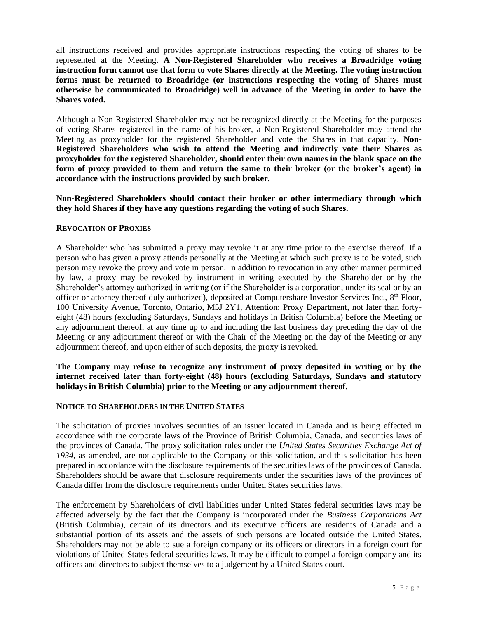all instructions received and provides appropriate instructions respecting the voting of shares to be represented at the Meeting. **A Non-Registered Shareholder who receives a Broadridge voting instruction form cannot use that form to vote Shares directly at the Meeting. The voting instruction forms must be returned to Broadridge (or instructions respecting the voting of Shares must otherwise be communicated to Broadridge) well in advance of the Meeting in order to have the Shares voted.**

Although a Non-Registered Shareholder may not be recognized directly at the Meeting for the purposes of voting Shares registered in the name of his broker, a Non-Registered Shareholder may attend the Meeting as proxyholder for the registered Shareholder and vote the Shares in that capacity. **Non-Registered Shareholders who wish to attend the Meeting and indirectly vote their Shares as proxyholder for the registered Shareholder, should enter their own names in the blank space on the form of proxy provided to them and return the same to their broker (or the broker's agent) in accordance with the instructions provided by such broker.** 

**Non-Registered Shareholders should contact their broker or other intermediary through which they hold Shares if they have any questions regarding the voting of such Shares.**

# **REVOCATION OF PROXIES**

A Shareholder who has submitted a proxy may revoke it at any time prior to the exercise thereof. If a person who has given a proxy attends personally at the Meeting at which such proxy is to be voted, such person may revoke the proxy and vote in person. In addition to revocation in any other manner permitted by law, a proxy may be revoked by instrument in writing executed by the Shareholder or by the Shareholder's attorney authorized in writing (or if the Shareholder is a corporation, under its seal or by an officer or attorney thereof duly authorized), deposited at Computershare Investor Services Inc., 8<sup>th</sup> Floor, 100 University Avenue, Toronto, Ontario, M5J 2Y1, Attention: Proxy Department, not later than fortyeight (48) hours (excluding Saturdays, Sundays and holidays in British Columbia) before the Meeting or any adjournment thereof, at any time up to and including the last business day preceding the day of the Meeting or any adjournment thereof or with the Chair of the Meeting on the day of the Meeting or any adjournment thereof, and upon either of such deposits, the proxy is revoked.

# **The Company may refuse to recognize any instrument of proxy deposited in writing or by the internet received later than forty-eight (48) hours (excluding Saturdays, Sundays and statutory holidays in British Columbia) prior to the Meeting or any adjournment thereof.**

# **NOTICE TO SHAREHOLDERS IN THE UNITED STATES**

The solicitation of proxies involves securities of an issuer located in Canada and is being effected in accordance with the corporate laws of the Province of British Columbia, Canada, and securities laws of the provinces of Canada. The proxy solicitation rules under the *United States Securities Exchange Act of 1934*, as amended, are not applicable to the Company or this solicitation, and this solicitation has been prepared in accordance with the disclosure requirements of the securities laws of the provinces of Canada. Shareholders should be aware that disclosure requirements under the securities laws of the provinces of Canada differ from the disclosure requirements under United States securities laws.

The enforcement by Shareholders of civil liabilities under United States federal securities laws may be affected adversely by the fact that the Company is incorporated under the *Business Corporations Act* (British Columbia), certain of its directors and its executive officers are residents of Canada and a substantial portion of its assets and the assets of such persons are located outside the United States. Shareholders may not be able to sue a foreign company or its officers or directors in a foreign court for violations of United States federal securities laws. It may be difficult to compel a foreign company and its officers and directors to subject themselves to a judgement by a United States court.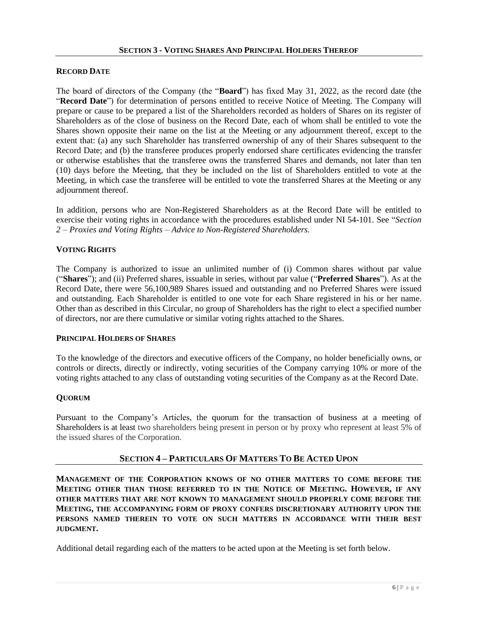# **RECORD DATE**

The board of directors of the Company (the "**Board**") has fixed May 31, 2022, as the record date (the "**Record Date**") for determination of persons entitled to receive Notice of Meeting. The Company will prepare or cause to be prepared a list of the Shareholders recorded as holders of Shares on its register of Shareholders as of the close of business on the Record Date, each of whom shall be entitled to vote the Shares shown opposite their name on the list at the Meeting or any adjournment thereof, except to the extent that: (a) any such Shareholder has transferred ownership of any of their Shares subsequent to the Record Date; and (b) the transferee produces properly endorsed share certificates evidencing the transfer or otherwise establishes that the transferee owns the transferred Shares and demands, not later than ten (10) days before the Meeting, that they be included on the list of Shareholders entitled to vote at the Meeting, in which case the transferee will be entitled to vote the transferred Shares at the Meeting or any adjournment thereof.

In addition, persons who are Non-Registered Shareholders as at the Record Date will be entitled to exercise their voting rights in accordance with the procedures established under NI 54-101. See "*Section 2 – Proxies and Voting Rights – Advice to Non-Registered Shareholders.*

# **VOTING RIGHTS**

The Company is authorized to issue an unlimited number of (i) Common shares without par value ("**Shares**"); and (ii) Preferred shares, issuable in series, without par value ("**Preferred Shares**"). As at the Record Date, there were 56,100,989 Shares issued and outstanding and no Preferred Shares were issued and outstanding. Each Shareholder is entitled to one vote for each Share registered in his or her name. Other than as described in this Circular, no group of Shareholders has the right to elect a specified number of directors, nor are there cumulative or similar voting rights attached to the Shares.

#### **PRINCIPAL HOLDERS OF SHARES**

To the knowledge of the directors and executive officers of the Company, no holder beneficially owns, or controls or directs, directly or indirectly, voting securities of the Company carrying 10% or more of the voting rights attached to any class of outstanding voting securities of the Company as at the Record Date.

# **QUORUM**

Pursuant to the Company's Articles, the quorum for the transaction of business at a meeting of Shareholders is at least two shareholders being present in person or by proxy who represent at least 5% of the issued shares of the Corporation.

# **SECTION 4 – PARTICULARS OF MATTERS TO BE ACTED UPON**

**MANAGEMENT OF THE CORPORATION KNOWS OF NO OTHER MATTERS TO COME BEFORE THE MEETING OTHER THAN THOSE REFERRED TO IN THE NOTICE OF MEETING. HOWEVER, IF ANY OTHER MATTERS THAT ARE NOT KNOWN TO MANAGEMENT SHOULD PROPERLY COME BEFORE THE MEETING, THE ACCOMPANYING FORM OF PROXY CONFERS DISCRETIONARY AUTHORITY UPON THE PERSONS NAMED THEREIN TO VOTE ON SUCH MATTERS IN ACCORDANCE WITH THEIR BEST JUDGMENT.**

Additional detail regarding each of the matters to be acted upon at the Meeting is set forth below.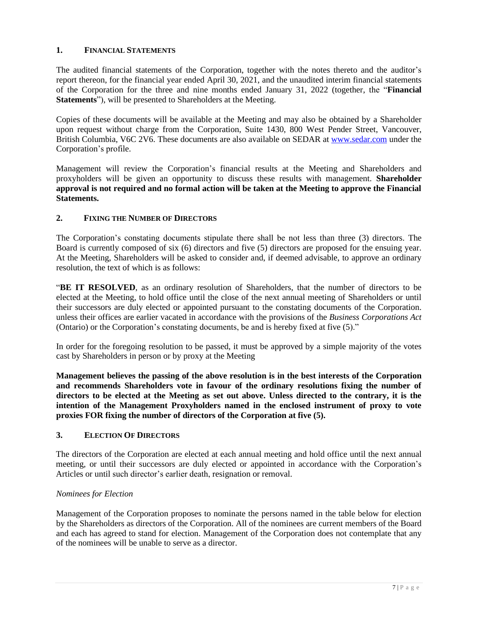# **1. FINANCIAL STATEMENTS**

The audited financial statements of the Corporation, together with the notes thereto and the auditor's report thereon, for the financial year ended April 30, 2021, and the unaudited interim financial statements of the Corporation for the three and nine months ended January 31, 2022 (together, the "**Financial Statements**"), will be presented to Shareholders at the Meeting.

Copies of these documents will be available at the Meeting and may also be obtained by a Shareholder upon request without charge from the Corporation, Suite 1430, 800 West Pender Street, Vancouver, British Columbia, V6C 2V6. These documents are also available on SEDAR at [www.sedar.com](http://www.sedar.com/) under the Corporation's profile.

Management will review the Corporation's financial results at the Meeting and Shareholders and proxyholders will be given an opportunity to discuss these results with management. **Shareholder approval is not required and no formal action will be taken at the Meeting to approve the Financial Statements.** 

# **2. FIXING THE NUMBER OF DIRECTORS**

The Corporation's constating documents stipulate there shall be not less than three (3) directors. The Board is currently composed of six (6) directors and five (5) directors are proposed for the ensuing year. At the Meeting, Shareholders will be asked to consider and, if deemed advisable, to approve an ordinary resolution, the text of which is as follows:

"**BE IT RESOLVED**, as an ordinary resolution of Shareholders, that the number of directors to be elected at the Meeting, to hold office until the close of the next annual meeting of Shareholders or until their successors are duly elected or appointed pursuant to the constating documents of the Corporation. unless their offices are earlier vacated in accordance with the provisions of the *Business Corporations Act*  (Ontario) or the Corporation's constating documents, be and is hereby fixed at five (5)."

In order for the foregoing resolution to be passed, it must be approved by a simple majority of the votes cast by Shareholders in person or by proxy at the Meeting

**Management believes the passing of the above resolution is in the best interests of the Corporation and recommends Shareholders vote in favour of the ordinary resolutions fixing the number of directors to be elected at the Meeting as set out above. Unless directed to the contrary, it is the intention of the Management Proxyholders named in the enclosed instrument of proxy to vote proxies FOR fixing the number of directors of the Corporation at five (5).**

# **3. ELECTION OF DIRECTORS**

The directors of the Corporation are elected at each annual meeting and hold office until the next annual meeting, or until their successors are duly elected or appointed in accordance with the Corporation's Articles or until such director's earlier death, resignation or removal.

# *Nominees for Election*

Management of the Corporation proposes to nominate the persons named in the table below for election by the Shareholders as directors of the Corporation. All of the nominees are current members of the Board and each has agreed to stand for election. Management of the Corporation does not contemplate that any of the nominees will be unable to serve as a director.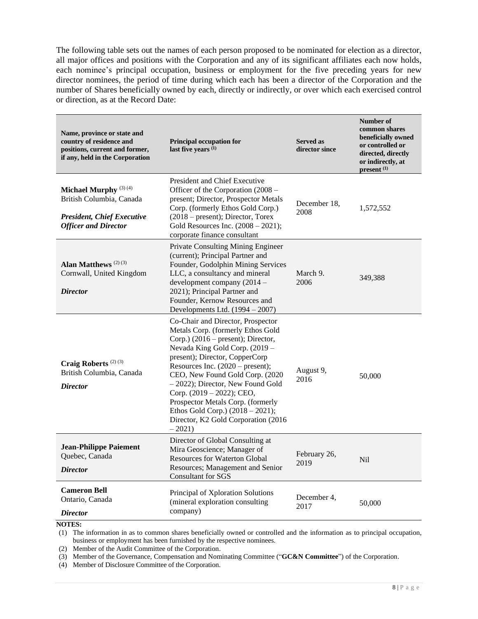The following table sets out the names of each person proposed to be nominated for election as a director, all major offices and positions with the Corporation and any of its significant affiliates each now holds, each nominee's principal occupation, business or employment for the five preceding years for new director nominees, the period of time during which each has been a director of the Corporation and the number of Shares beneficially owned by each, directly or indirectly, or over which each exercised control or direction, as at the Record Date:

| Name, province or state and<br>country of residence and<br>positions, current and former,<br>if any, held in the Corporation     | <b>Principal occupation for</b><br>last five years (1)                                                                                                                                                                                                                                                                                                                                                                                                          | <b>Served as</b><br>director since | Number of<br>common shares<br>beneficially owned<br>or controlled or<br>directed, directly<br>or indirectly, at<br>present <sup>(1)</sup> |
|----------------------------------------------------------------------------------------------------------------------------------|-----------------------------------------------------------------------------------------------------------------------------------------------------------------------------------------------------------------------------------------------------------------------------------------------------------------------------------------------------------------------------------------------------------------------------------------------------------------|------------------------------------|-------------------------------------------------------------------------------------------------------------------------------------------|
| Michael Murphy <sup>(3)(4)</sup><br>British Columbia, Canada<br><b>President, Chief Executive</b><br><b>Officer and Director</b> | <b>President and Chief Executive</b><br>Officer of the Corporation (2008 –<br>present; Director, Prospector Metals<br>Corp. (formerly Ethos Gold Corp.)<br>$(2018 - present)$ ; Director, Torex<br>Gold Resources Inc. $(2008 - 2021)$ ;<br>corporate finance consultant                                                                                                                                                                                        | December 18,<br>2008               | 1,572,552                                                                                                                                 |
| Alan Matthews <sup>(2)(3)</sup><br>Cornwall, United Kingdom<br><b>Director</b>                                                   | Private Consulting Mining Engineer<br>(current); Principal Partner and<br>Founder, Godolphin Mining Services<br>LLC, a consultancy and mineral<br>development company (2014 -<br>2021); Principal Partner and<br>Founder, Kernow Resources and<br>Developments Ltd. (1994 - 2007)                                                                                                                                                                               | March 9.<br>2006                   | 349,388                                                                                                                                   |
| Craig Roberts <sup>(2)(3)</sup><br>British Columbia, Canada<br><i>Director</i>                                                   | Co-Chair and Director, Prospector<br>Metals Corp. (formerly Ethos Gold<br>Corp.) $(2016 - present)$ ; Director,<br>Nevada King Gold Corp. (2019 -<br>present); Director, CopperCorp<br>Resources Inc. $(2020 - present)$ ;<br>CEO, New Found Gold Corp. (2020<br>$-2022$ ); Director, New Found Gold<br>Corp. (2019 – 2022); CEO,<br>Prospector Metals Corp. (formerly<br>Ethos Gold Corp.) $(2018 - 2021)$ ;<br>Director, K2 Gold Corporation (2016<br>$-2021$ | August 9,<br>2016                  | 50,000                                                                                                                                    |
| <b>Jean-Philippe Paiement</b><br>Quebec, Canada<br><b>Director</b>                                                               | Director of Global Consulting at<br>Mira Geoscience; Manager of<br><b>Resources for Waterton Global</b><br>Resources; Management and Senior<br><b>Consultant for SGS</b>                                                                                                                                                                                                                                                                                        | February 26,<br>2019               | N <sub>i</sub>                                                                                                                            |
| <b>Cameron Bell</b><br>Ontario, Canada<br><i>Director</i>                                                                        | Principal of Xploration Solutions<br>(mineral exploration consulting<br>company)                                                                                                                                                                                                                                                                                                                                                                                | December 4,<br>2017                | 50,000                                                                                                                                    |

**NOTES:**

(1) The information in as to common shares beneficially owned or controlled and the information as to principal occupation, business or employment has been furnished by the respective nominees.

(2) Member of the Audit Committee of the Corporation.

(3) Member of the Governance, Compensation and Nominating Committee ("**GC&N Committee**") of the Corporation.

(4) Member of Disclosure Committee of the Corporation.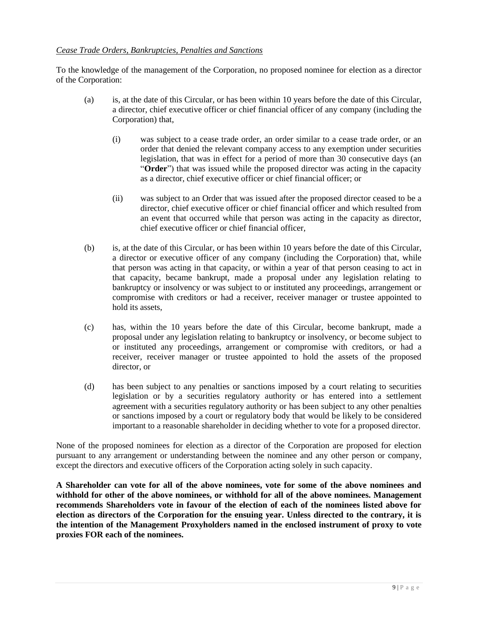# *Cease Trade Orders, Bankruptcies, Penalties and Sanctions*

To the knowledge of the management of the Corporation, no proposed nominee for election as a director of the Corporation:

- (a) is, at the date of this Circular, or has been within 10 years before the date of this Circular, a director, chief executive officer or chief financial officer of any company (including the Corporation) that,
	- (i) was subject to a cease trade order, an order similar to a cease trade order, or an order that denied the relevant company access to any exemption under securities legislation, that was in effect for a period of more than 30 consecutive days (an "**Order**") that was issued while the proposed director was acting in the capacity as a director, chief executive officer or chief financial officer; or
	- (ii) was subject to an Order that was issued after the proposed director ceased to be a director, chief executive officer or chief financial officer and which resulted from an event that occurred while that person was acting in the capacity as director, chief executive officer or chief financial officer,
- (b) is, at the date of this Circular, or has been within 10 years before the date of this Circular, a director or executive officer of any company (including the Corporation) that, while that person was acting in that capacity, or within a year of that person ceasing to act in that capacity, became bankrupt, made a proposal under any legislation relating to bankruptcy or insolvency or was subject to or instituted any proceedings, arrangement or compromise with creditors or had a receiver, receiver manager or trustee appointed to hold its assets,
- (c) has, within the 10 years before the date of this Circular, become bankrupt, made a proposal under any legislation relating to bankruptcy or insolvency, or become subject to or instituted any proceedings, arrangement or compromise with creditors, or had a receiver, receiver manager or trustee appointed to hold the assets of the proposed director, or
- (d) has been subject to any penalties or sanctions imposed by a court relating to securities legislation or by a securities regulatory authority or has entered into a settlement agreement with a securities regulatory authority or has been subject to any other penalties or sanctions imposed by a court or regulatory body that would be likely to be considered important to a reasonable shareholder in deciding whether to vote for a proposed director.

None of the proposed nominees for election as a director of the Corporation are proposed for election pursuant to any arrangement or understanding between the nominee and any other person or company, except the directors and executive officers of the Corporation acting solely in such capacity.

**A Shareholder can vote for all of the above nominees, vote for some of the above nominees and withhold for other of the above nominees, or withhold for all of the above nominees. Management recommends Shareholders vote in favour of the election of each of the nominees listed above for election as directors of the Corporation for the ensuing year. Unless directed to the contrary, it is the intention of the Management Proxyholders named in the enclosed instrument of proxy to vote proxies FOR each of the nominees.**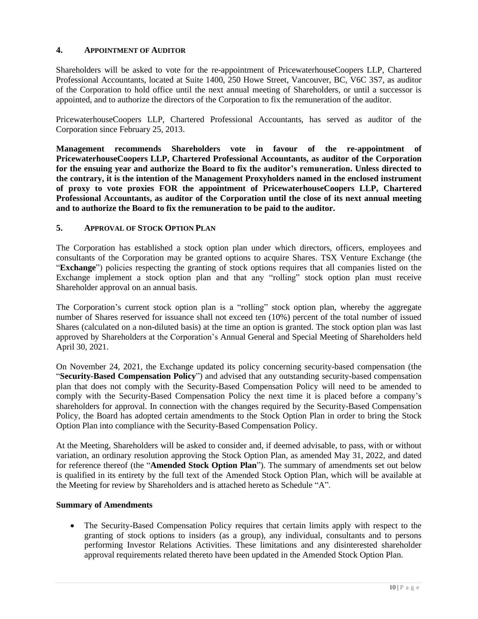# **4. APPOINTMENT OF AUDITOR**

Shareholders will be asked to vote for the re-appointment of PricewaterhouseCoopers LLP, Chartered Professional Accountants, located at Suite 1400, 250 Howe Street, Vancouver, BC, V6C 3S7, as auditor of the Corporation to hold office until the next annual meeting of Shareholders, or until a successor is appointed, and to authorize the directors of the Corporation to fix the remuneration of the auditor.

PricewaterhouseCoopers LLP, Chartered Professional Accountants, has served as auditor of the Corporation since February 25, 2013.

**Management recommends Shareholders vote in favour of the re-appointment of PricewaterhouseCoopers LLP, Chartered Professional Accountants, as auditor of the Corporation for the ensuing year and authorize the Board to fix the auditor's remuneration. Unless directed to the contrary, it is the intention of the Management Proxyholders named in the enclosed instrument of proxy to vote proxies FOR the appointment of PricewaterhouseCoopers LLP, Chartered Professional Accountants, as auditor of the Corporation until the close of its next annual meeting and to authorize the Board to fix the remuneration to be paid to the auditor.**

# **5. APPROVAL OF STOCK OPTION PLAN**

The Corporation has established a stock option plan under which directors, officers, employees and consultants of the Corporation may be granted options to acquire Shares. TSX Venture Exchange (the "**Exchange**") policies respecting the granting of stock options requires that all companies listed on the Exchange implement a stock option plan and that any "rolling" stock option plan must receive Shareholder approval on an annual basis.

The Corporation's current stock option plan is a "rolling" stock option plan, whereby the aggregate number of Shares reserved for issuance shall not exceed ten (10%) percent of the total number of issued Shares (calculated on a non-diluted basis) at the time an option is granted. The stock option plan was last approved by Shareholders at the Corporation's Annual General and Special Meeting of Shareholders held April 30, 2021.

On November 24, 2021, the Exchange updated its policy concerning security-based compensation (the "**Security-Based Compensation Policy**") and advised that any outstanding security-based compensation plan that does not comply with the Security-Based Compensation Policy will need to be amended to comply with the Security-Based Compensation Policy the next time it is placed before a company's shareholders for approval. In connection with the changes required by the Security-Based Compensation Policy, the Board has adopted certain amendments to the Stock Option Plan in order to bring the Stock Option Plan into compliance with the Security-Based Compensation Policy.

At the Meeting, Shareholders will be asked to consider and, if deemed advisable, to pass, with or without variation, an ordinary resolution approving the Stock Option Plan, as amended May 31, 2022, and dated for reference thereof (the "**Amended Stock Option Plan**"). The summary of amendments set out below is qualified in its entirety by the full text of the Amended Stock Option Plan, which will be available at the Meeting for review by Shareholders and is attached hereto as Schedule "A".

# **Summary of Amendments**

• The Security-Based Compensation Policy requires that certain limits apply with respect to the granting of stock options to insiders (as a group), any individual, consultants and to persons performing Investor Relations Activities. These limitations and any disinterested shareholder approval requirements related thereto have been updated in the Amended Stock Option Plan.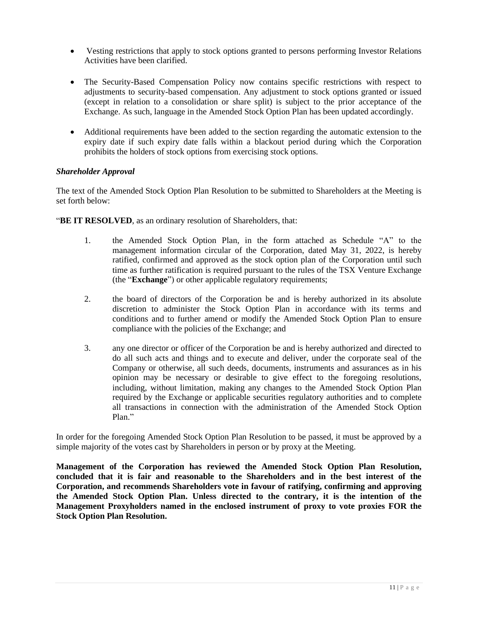- Vesting restrictions that apply to stock options granted to persons performing Investor Relations Activities have been clarified.
- The Security-Based Compensation Policy now contains specific restrictions with respect to adjustments to security-based compensation. Any adjustment to stock options granted or issued (except in relation to a consolidation or share split) is subject to the prior acceptance of the Exchange. As such, language in the Amended Stock Option Plan has been updated accordingly.
- Additional requirements have been added to the section regarding the automatic extension to the expiry date if such expiry date falls within a blackout period during which the Corporation prohibits the holders of stock options from exercising stock options.

# *Shareholder Approval*

The text of the Amended Stock Option Plan Resolution to be submitted to Shareholders at the Meeting is set forth below:

"**BE IT RESOLVED**, as an ordinary resolution of Shareholders, that:

- 1. the Amended Stock Option Plan, in the form attached as Schedule "A" to the management information circular of the Corporation, dated May 31, 2022, is hereby ratified, confirmed and approved as the stock option plan of the Corporation until such time as further ratification is required pursuant to the rules of the TSX Venture Exchange (the "**Exchange**") or other applicable regulatory requirements;
- 2. the board of directors of the Corporation be and is hereby authorized in its absolute discretion to administer the Stock Option Plan in accordance with its terms and conditions and to further amend or modify the Amended Stock Option Plan to ensure compliance with the policies of the Exchange; and
- 3. any one director or officer of the Corporation be and is hereby authorized and directed to do all such acts and things and to execute and deliver, under the corporate seal of the Company or otherwise, all such deeds, documents, instruments and assurances as in his opinion may be necessary or desirable to give effect to the foregoing resolutions, including, without limitation, making any changes to the Amended Stock Option Plan required by the Exchange or applicable securities regulatory authorities and to complete all transactions in connection with the administration of the Amended Stock Option Plan."

In order for the foregoing Amended Stock Option Plan Resolution to be passed, it must be approved by a simple majority of the votes cast by Shareholders in person or by proxy at the Meeting.

**Management of the Corporation has reviewed the Amended Stock Option Plan Resolution, concluded that it is fair and reasonable to the Shareholders and in the best interest of the Corporation, and recommends Shareholders vote in favour of ratifying, confirming and approving the Amended Stock Option Plan. Unless directed to the contrary, it is the intention of the Management Proxyholders named in the enclosed instrument of proxy to vote proxies FOR the Stock Option Plan Resolution.**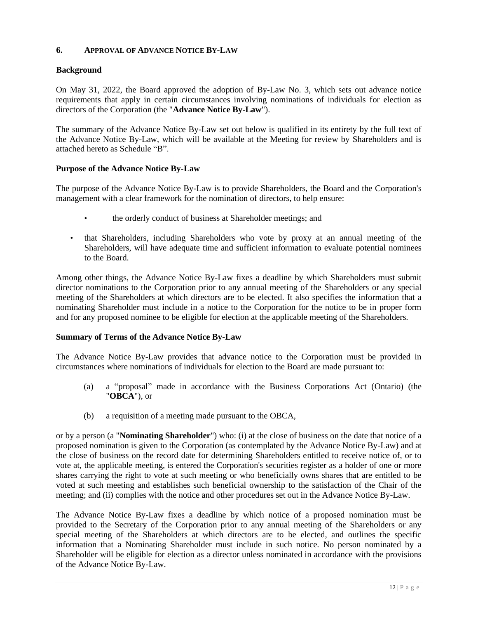# **6. APPROVAL OF ADVANCE NOTICE BY-LAW**

# **Background**

On May 31, 2022, the Board approved the adoption of By-Law No. 3, which sets out advance notice requirements that apply in certain circumstances involving nominations of individuals for election as directors of the Corporation (the "**Advance Notice By-Law**").

The summary of the Advance Notice By-Law set out below is qualified in its entirety by the full text of the Advance Notice By-Law, which will be available at the Meeting for review by Shareholders and is attached hereto as Schedule "B".

# **Purpose of the Advance Notice By-Law**

The purpose of the Advance Notice By-Law is to provide Shareholders, the Board and the Corporation's management with a clear framework for the nomination of directors, to help ensure:

- the orderly conduct of business at Shareholder meetings; and
- that Shareholders, including Shareholders who vote by proxy at an annual meeting of the Shareholders, will have adequate time and sufficient information to evaluate potential nominees to the Board.

Among other things, the Advance Notice By-Law fixes a deadline by which Shareholders must submit director nominations to the Corporation prior to any annual meeting of the Shareholders or any special meeting of the Shareholders at which directors are to be elected. It also specifies the information that a nominating Shareholder must include in a notice to the Corporation for the notice to be in proper form and for any proposed nominee to be eligible for election at the applicable meeting of the Shareholders.

# **Summary of Terms of the Advance Notice By-Law**

The Advance Notice By-Law provides that advance notice to the Corporation must be provided in circumstances where nominations of individuals for election to the Board are made pursuant to:

- (a) a "proposal" made in accordance with the Business Corporations Act (Ontario) (the "**OBCA**"), or
- (b) a requisition of a meeting made pursuant to the OBCA,

or by a person (a "**Nominating Shareholder**") who: (i) at the close of business on the date that notice of a proposed nomination is given to the Corporation (as contemplated by the Advance Notice By-Law) and at the close of business on the record date for determining Shareholders entitled to receive notice of, or to vote at, the applicable meeting, is entered the Corporation's securities register as a holder of one or more shares carrying the right to vote at such meeting or who beneficially owns shares that are entitled to be voted at such meeting and establishes such beneficial ownership to the satisfaction of the Chair of the meeting; and (ii) complies with the notice and other procedures set out in the Advance Notice By-Law.

The Advance Notice By-Law fixes a deadline by which notice of a proposed nomination must be provided to the Secretary of the Corporation prior to any annual meeting of the Shareholders or any special meeting of the Shareholders at which directors are to be elected, and outlines the specific information that a Nominating Shareholder must include in such notice. No person nominated by a Shareholder will be eligible for election as a director unless nominated in accordance with the provisions of the Advance Notice By-Law.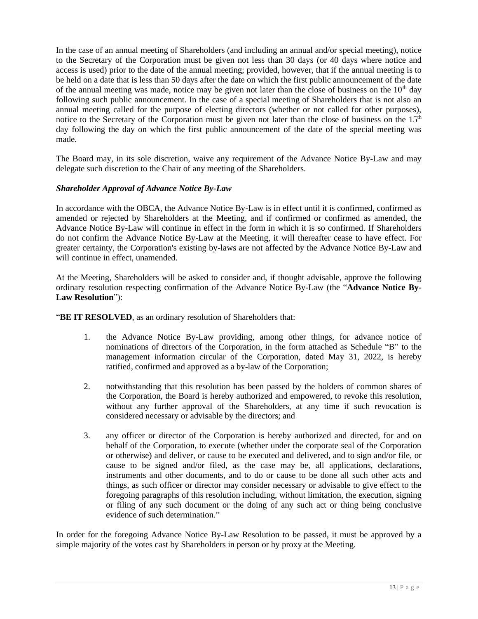In the case of an annual meeting of Shareholders (and including an annual and/or special meeting), notice to the Secretary of the Corporation must be given not less than 30 days (or 40 days where notice and access is used) prior to the date of the annual meeting; provided, however, that if the annual meeting is to be held on a date that is less than 50 days after the date on which the first public announcement of the date of the annual meeting was made, notice may be given not later than the close of business on the  $10<sup>th</sup>$  day following such public announcement. In the case of a special meeting of Shareholders that is not also an annual meeting called for the purpose of electing directors (whether or not called for other purposes), notice to the Secretary of the Corporation must be given not later than the close of business on the  $15<sup>th</sup>$ day following the day on which the first public announcement of the date of the special meeting was made.

The Board may, in its sole discretion, waive any requirement of the Advance Notice By-Law and may delegate such discretion to the Chair of any meeting of the Shareholders.

# *Shareholder Approval of Advance Notice By-Law*

In accordance with the OBCA, the Advance Notice By-Law is in effect until it is confirmed, confirmed as amended or rejected by Shareholders at the Meeting, and if confirmed or confirmed as amended, the Advance Notice By-Law will continue in effect in the form in which it is so confirmed. If Shareholders do not confirm the Advance Notice By-Law at the Meeting, it will thereafter cease to have effect. For greater certainty, the Corporation's existing by-laws are not affected by the Advance Notice By-Law and will continue in effect, unamended.

At the Meeting, Shareholders will be asked to consider and, if thought advisable, approve the following ordinary resolution respecting confirmation of the Advance Notice By-Law (the "**Advance Notice By-Law Resolution**"):

"**BE IT RESOLVED**, as an ordinary resolution of Shareholders that:

- 1. the Advance Notice By-Law providing, among other things, for advance notice of nominations of directors of the Corporation, in the form attached as Schedule "B" to the management information circular of the Corporation, dated May 31, 2022, is hereby ratified, confirmed and approved as a by-law of the Corporation;
- 2. notwithstanding that this resolution has been passed by the holders of common shares of the Corporation, the Board is hereby authorized and empowered, to revoke this resolution, without any further approval of the Shareholders, at any time if such revocation is considered necessary or advisable by the directors; and
- 3. any officer or director of the Corporation is hereby authorized and directed, for and on behalf of the Corporation, to execute (whether under the corporate seal of the Corporation or otherwise) and deliver, or cause to be executed and delivered, and to sign and/or file, or cause to be signed and/or filed, as the case may be, all applications, declarations, instruments and other documents, and to do or cause to be done all such other acts and things, as such officer or director may consider necessary or advisable to give effect to the foregoing paragraphs of this resolution including, without limitation, the execution, signing or filing of any such document or the doing of any such act or thing being conclusive evidence of such determination."

In order for the foregoing Advance Notice By-Law Resolution to be passed, it must be approved by a simple majority of the votes cast by Shareholders in person or by proxy at the Meeting.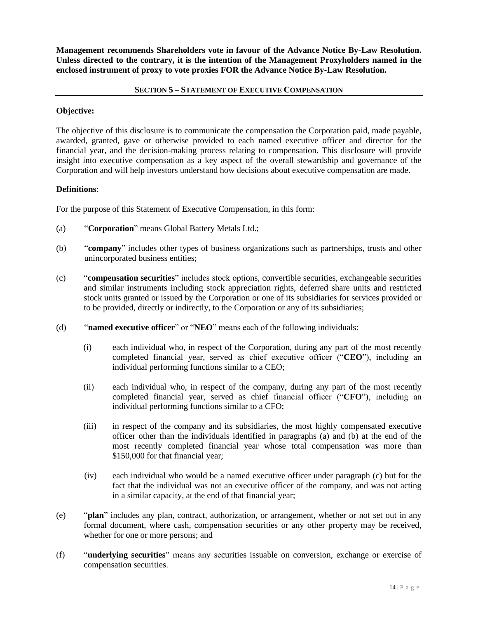**Management recommends Shareholders vote in favour of the Advance Notice By-Law Resolution. Unless directed to the contrary, it is the intention of the Management Proxyholders named in the enclosed instrument of proxy to vote proxies FOR the Advance Notice By-Law Resolution.**

### **SECTION 5 – STATEMENT OF EXECUTIVE COMPENSATION**

### **Objective:**

The objective of this disclosure is to communicate the compensation the Corporation paid, made payable, awarded, granted, gave or otherwise provided to each named executive officer and director for the financial year, and the decision-making process relating to compensation. This disclosure will provide insight into executive compensation as a key aspect of the overall stewardship and governance of the Corporation and will help investors understand how decisions about executive compensation are made.

# **Definitions**:

For the purpose of this Statement of Executive Compensation, in this form:

- (a) "**Corporation**" means Global Battery Metals Ltd.;
- (b) "**company**" includes other types of business organizations such as partnerships, trusts and other unincorporated business entities;
- (c) "**compensation securities**" includes stock options, convertible securities, exchangeable securities and similar instruments including stock appreciation rights, deferred share units and restricted stock units granted or issued by the Corporation or one of its subsidiaries for services provided or to be provided, directly or indirectly, to the Corporation or any of its subsidiaries;
- (d) "**named executive officer**" or "**NEO**" means each of the following individuals:
	- (i) each individual who, in respect of the Corporation, during any part of the most recently completed financial year, served as chief executive officer ("**CEO**"), including an individual performing functions similar to a CEO;
	- (ii) each individual who, in respect of the company, during any part of the most recently completed financial year, served as chief financial officer ("**CFO**"), including an individual performing functions similar to a CFO;
	- (iii) in respect of the company and its subsidiaries, the most highly compensated executive officer other than the individuals identified in paragraphs (a) and (b) at the end of the most recently completed financial year whose total compensation was more than \$150,000 for that financial year;
	- (iv) each individual who would be a named executive officer under paragraph (c) but for the fact that the individual was not an executive officer of the company, and was not acting in a similar capacity, at the end of that financial year;
- (e) "**plan**" includes any plan, contract, authorization, or arrangement, whether or not set out in any formal document, where cash, compensation securities or any other property may be received, whether for one or more persons; and
- (f) "**underlying securities**" means any securities issuable on conversion, exchange or exercise of compensation securities.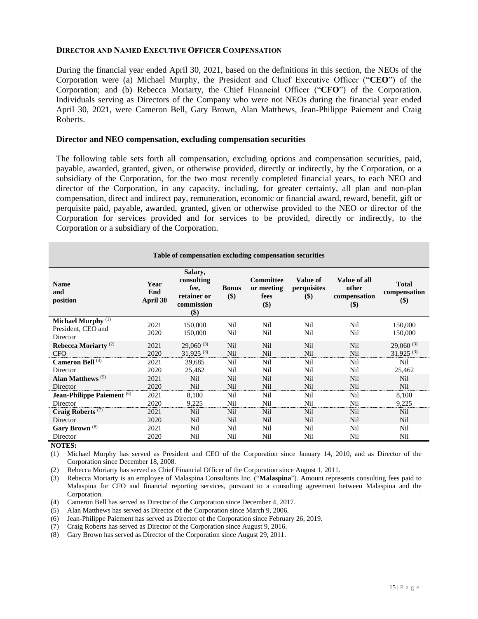#### **DIRECTOR AND NAMED EXECUTIVE OFFICER COMPENSATION**

During the financial year ended April 30, 2021, based on the definitions in this section, the NEOs of the Corporation were (a) Michael Murphy, the President and Chief Executive Officer ("**CEO**") of the Corporation; and (b) Rebecca Moriarty, the Chief Financial Officer ("**CFO**") of the Corporation. Individuals serving as Directors of the Company who were not NEOs during the financial year ended April 30, 2021, were Cameron Bell, Gary Brown, Alan Matthews, Jean-Philippe Paiement and Craig Roberts.

#### **Director and NEO compensation, excluding compensation securities**

The following table sets forth all compensation, excluding options and compensation securities, paid, payable, awarded, granted, given, or otherwise provided, directly or indirectly, by the Corporation, or a subsidiary of the Corporation, for the two most recently completed financial years, to each NEO and director of the Corporation, in any capacity, including, for greater certainty, all plan and non-plan compensation, direct and indirect pay, remuneration, economic or financial award, reward, benefit, gift or perquisite paid, payable, awarded, granted, given or otherwise provided to the NEO or director of the Corporation for services provided and for services to be provided, directly or indirectly, to the Corporation or a subsidiary of the Corporation.

| Table of compensation excluding compensation securities         |                         |                                                                   |                        |                                               |                                                      |                                              |                                     |  |
|-----------------------------------------------------------------|-------------------------|-------------------------------------------------------------------|------------------------|-----------------------------------------------|------------------------------------------------------|----------------------------------------------|-------------------------------------|--|
| <b>Name</b><br>and<br>position                                  | Year<br>End<br>April 30 | Salary,<br>consulting<br>fee,<br>retainer or<br>commission<br>\$) | <b>Bonus</b><br>$($ \$ | <b>Committee</b><br>or meeting<br>fees<br>\$) | Value of<br>perquisites<br>$\left( \text{\$}\right)$ | Value of all<br>other<br>compensation<br>\$) | <b>Total</b><br>compensation<br>\$) |  |
| Michael Murphy <sup>(1)</sup><br>President, CEO and<br>Director | 2021<br>2020            | 150,000<br>150,000                                                | Nil<br>Nil             | Nil<br>Nil                                    | Nil<br>Nil                                           | Nil<br>Nil                                   | 150,000<br>150,000                  |  |
| Rebecca Moriarty <sup>(2)</sup>                                 | 2021                    | $29,060^{(3)}$<br>$31.925^{(3)}$                                  | Nil                    | Nil                                           | Nil                                                  | Nil                                          | $29,060^{(3)}$                      |  |
| <b>CFO</b><br>Cameron Bell <sup>(4)</sup>                       | 2020<br>2021            | 39,685                                                            | Nil<br>Nil             | Nil<br>Nil                                    | Nil<br>Nil                                           | Nil<br>Nil                                   | $31,925^{(3)}$<br>Nil               |  |
| Director                                                        | 2020                    | 25,462                                                            | Nil                    | Nil                                           | Nil                                                  | Nil                                          | 25,462                              |  |
| Alan Matthews $(5)$                                             | 2021                    | Nil                                                               | Nil                    | Nil                                           | <b>Nil</b>                                           | Nil                                          | Nil                                 |  |
| Director                                                        | 2020                    | Nil                                                               | Nil                    | Nil                                           | <b>Nil</b>                                           | Nil                                          | Nil                                 |  |
| Jean-Philippe Paiement <sup>(6)</sup>                           | 2021                    | 8,100                                                             | Nil                    | Nil                                           | Nil                                                  | Nil                                          | 8,100                               |  |
| Director                                                        | 2020                    | 9,225                                                             | Nil                    | Nil                                           | Nil                                                  | Nil                                          | 9,225                               |  |
| Craig Roberts <sup>(7)</sup>                                    | 2021                    | Nil                                                               | Nil                    | Nil                                           | <b>Nil</b>                                           | Nil                                          | Nil                                 |  |
| Director                                                        | 2020                    | Nil                                                               | Nil                    | Nil                                           | <b>Nil</b>                                           | Nil                                          | Nil                                 |  |
| Gary Brown <sup>(8)</sup>                                       | 2021                    | Nil                                                               | Nil                    | Nil                                           | Nil                                                  | Nil                                          | Nil                                 |  |
| Director                                                        | 2020                    | Nil                                                               | Nil                    | Nil                                           | Nil                                                  | Nil                                          | Nil                                 |  |

**NOTES:**

(1) Michael Murphy has served as President and CEO of the Corporation since January 14, 2010, and as Director of the Corporation since December 18, 2008.

(2) Rebecca Moriarty has served as Chief Financial Officer of the Corporation since August 1, 2011.

(3) Rebecca Moriarty is an employee of Malaspina Consultants Inc. ("**Malaspina**"). Amount represents consulting fees paid to Malaspina for CFO and financial reporting services, pursuant to a consulting agreement between Malaspina and the Corporation.

(4) Cameron Bell has served as Director of the Corporation since December 4, 2017.

- (5) Alan Matthews has served as Director of the Corporation since March 9, 2006.
- (6) Jean-Philippe Paiement has served as Director of the Corporation since February 26, 2019.

(7) Craig Roberts has served as Director of the Corporation since August 9, 2016.

(8) Gary Brown has served as Director of the Corporation since August 29, 2011.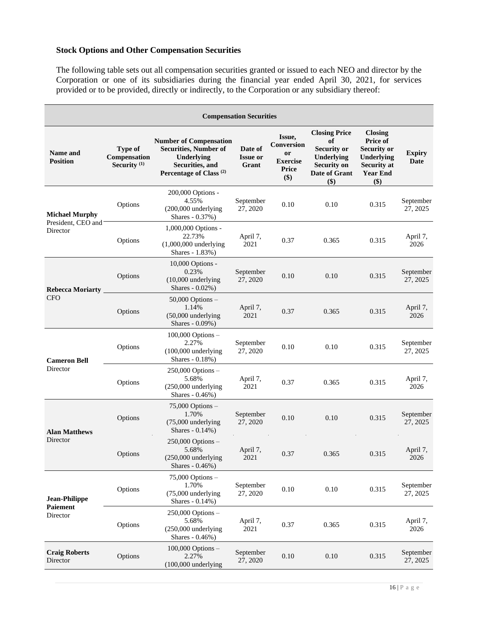# **Stock Options and Other Compensation Securities**

The following table sets out all compensation securities granted or issued to each NEO and director by the Corporation or one of its subsidiaries during the financial year ended April 30, 2021, for services provided or to be provided, directly or indirectly, to the Corporation or any subsidiary thereof:

| <b>Compensation Securities</b>                      |                                           |                                                                                                                                      |                                     |                                                                      |                                                                                                              |                                                                                                                |                              |
|-----------------------------------------------------|-------------------------------------------|--------------------------------------------------------------------------------------------------------------------------------------|-------------------------------------|----------------------------------------------------------------------|--------------------------------------------------------------------------------------------------------------|----------------------------------------------------------------------------------------------------------------|------------------------------|
| <b>Name and</b><br><b>Position</b>                  | Type of<br>Compensation<br>Security $(1)$ | <b>Number of Compensation</b><br><b>Securities, Number of</b><br>Underlying<br>Securities, and<br>Percentage of Class <sup>(2)</sup> | Date of<br><b>Issue or</b><br>Grant | Issue,<br>Conversion<br>or<br><b>Exercise</b><br><b>Price</b><br>\$) | <b>Closing Price</b><br>of<br><b>Security or</b><br>Underlying<br><b>Security on</b><br>Date of Grant<br>\$) | <b>Closing</b><br>Price of<br><b>Security or</b><br>Underlying<br><b>Security at</b><br><b>Year End</b><br>\$) | <b>Expiry</b><br><b>Date</b> |
| <b>Michael Murphy</b>                               | Options                                   | 200,000 Options -<br>4.55%<br>$(200,000$ underlying<br>Shares - 0.37%)                                                               | September<br>27, 2020               | 0.10                                                                 | 0.10                                                                                                         | 0.315                                                                                                          | September<br>27, 2025        |
| President, CEO and<br>Director                      | Options                                   | 1,000,000 Options -<br>22.73%<br>$(1,000,000$ underlying<br>Shares - 1.83%)                                                          | April 7,<br>2021                    | 0.37                                                                 | 0.365                                                                                                        | 0.315                                                                                                          | April 7,<br>2026             |
| <b>Rebecca Moriarty</b><br><b>CFO</b>               | Options                                   | 10,000 Options -<br>0.23%<br>(10,000 underlying<br>Shares $-0.02\%$ )                                                                | September<br>27, 2020               | 0.10                                                                 | 0.10                                                                                                         | 0.315                                                                                                          | September<br>27, 2025        |
|                                                     | Options                                   | $50,000$ Options $-$<br>1.14%<br>$(50,000$ underlying<br>Shares - 0.09%)                                                             | April 7,<br>2021                    | 0.37                                                                 | 0.365                                                                                                        | 0.315                                                                                                          | April 7,<br>2026             |
| <b>Cameron Bell</b><br>Director                     | Options                                   | $100,000$ Options $-$<br>2.27%<br>$(100,000$ underlying<br>Shares - 0.18%)                                                           | September<br>27, 2020               | 0.10                                                                 | 0.10                                                                                                         | 0.315                                                                                                          | September<br>27, 2025        |
|                                                     | Options                                   | $250,000$ Options $-$<br>5.68%<br>$(250,000$ underlying<br>Shares - 0.46%)                                                           | April 7,<br>2021                    | 0.37                                                                 | 0.365                                                                                                        | 0.315                                                                                                          | April 7,<br>2026             |
| <b>Alan Matthews</b>                                | Options                                   | $75,000$ Options $-$<br>1.70%<br>$(75,000$ underlying<br>Shares - 0.14%)                                                             | September<br>27, 2020               | 0.10                                                                 | 0.10                                                                                                         | 0.315                                                                                                          | September<br>27, 2025        |
| Director                                            | Options                                   | $250,000$ Options $-$<br>5.68%<br>(250,000 underlying<br>Shares - 0.46%)                                                             | April 7,<br>2021                    | 0.37                                                                 | 0.365                                                                                                        | 0.315                                                                                                          | April 7,<br>2026             |
| <b>Jean-Philippe</b><br><b>Paiement</b><br>Director | Options                                   | $75,000$ Options $-$<br>1.70%<br>(75,000 underlying<br>Shares - 0.14%)                                                               | September<br>27, 2020               | 0.10                                                                 | 0.10                                                                                                         | 0.315                                                                                                          | September<br>27, 2025        |
|                                                     | Options                                   | $250,000$ Options $-$<br>5.68%<br>(250,000 underlying<br>Shares - 0.46%)                                                             | April 7,<br>2021                    | 0.37                                                                 | 0.365                                                                                                        | 0.315                                                                                                          | April 7,<br>2026             |
| <b>Craig Roberts</b><br>Director                    | Options                                   | $100,000$ Options $-$<br>2.27%<br>(100,000 underlying                                                                                | September<br>27, 2020               | 0.10                                                                 | 0.10                                                                                                         | 0.315                                                                                                          | September<br>27, 2025        |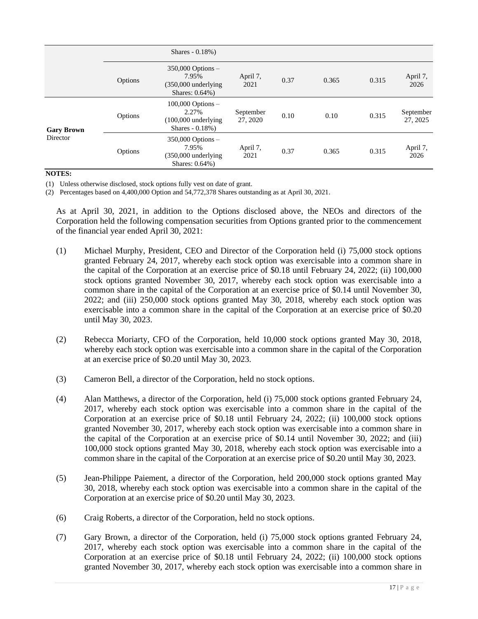|                   |         | Shares $-0.18%$ )                                                                   |                       |      |       |       |                       |
|-------------------|---------|-------------------------------------------------------------------------------------|-----------------------|------|-------|-------|-----------------------|
|                   | Options | $350,000$ Options $-$<br>7.95%<br>$(350,000$ underlying<br>Shares: 0.64%)           | April 7,<br>2021      | 0.37 | 0.365 | 0.315 | April 7,<br>2026      |
| <b>Gary Brown</b> | Options | $100,000$ Options $-$<br>2.27%<br>$(100,000 \text{ underlying})$<br>Shares - 0.18%) | September<br>27, 2020 | 0.10 | 0.10  | 0.315 | September<br>27, 2025 |
| Director          | Options | $350,000$ Options $-$<br>7.95%<br>$(350,000$ underlying<br>Shares: 0.64%)           | April 7,<br>2021      | 0.37 | 0.365 | 0.315 | April 7,<br>2026      |

# **NOTES:**

(1) Unless otherwise disclosed, stock options fully vest on date of grant.

(2) Percentages based on 4,400,000 Option and 54,772,378 Shares outstanding as at April 30, 2021.

As at April 30, 2021, in addition to the Options disclosed above, the NEOs and directors of the Corporation held the following compensation securities from Options granted prior to the commencement of the financial year ended April 30, 2021:

- (1) Michael Murphy, President, CEO and Director of the Corporation held (i) 75,000 stock options granted February 24, 2017, whereby each stock option was exercisable into a common share in the capital of the Corporation at an exercise price of \$0.18 until February 24, 2022; (ii) 100,000 stock options granted November 30, 2017, whereby each stock option was exercisable into a common share in the capital of the Corporation at an exercise price of \$0.14 until November 30, 2022; and (iii) 250,000 stock options granted May 30, 2018, whereby each stock option was exercisable into a common share in the capital of the Corporation at an exercise price of \$0.20 until May 30, 2023.
- (2) Rebecca Moriarty, CFO of the Corporation, held 10,000 stock options granted May 30, 2018, whereby each stock option was exercisable into a common share in the capital of the Corporation at an exercise price of \$0.20 until May 30, 2023.
- (3) Cameron Bell, a director of the Corporation, held no stock options.
- (4) Alan Matthews, a director of the Corporation, held (i) 75,000 stock options granted February 24, 2017, whereby each stock option was exercisable into a common share in the capital of the Corporation at an exercise price of \$0.18 until February 24, 2022; (ii) 100,000 stock options granted November 30, 2017, whereby each stock option was exercisable into a common share in the capital of the Corporation at an exercise price of \$0.14 until November 30, 2022; and (iii) 100,000 stock options granted May 30, 2018, whereby each stock option was exercisable into a common share in the capital of the Corporation at an exercise price of \$0.20 until May 30, 2023.
- (5) Jean-Philippe Paiement, a director of the Corporation, held 200,000 stock options granted May 30, 2018, whereby each stock option was exercisable into a common share in the capital of the Corporation at an exercise price of \$0.20 until May 30, 2023.
- (6) Craig Roberts, a director of the Corporation, held no stock options.
- (7) Gary Brown, a director of the Corporation, held (i) 75,000 stock options granted February 24, 2017, whereby each stock option was exercisable into a common share in the capital of the Corporation at an exercise price of \$0.18 until February 24, 2022; (ii) 100,000 stock options granted November 30, 2017, whereby each stock option was exercisable into a common share in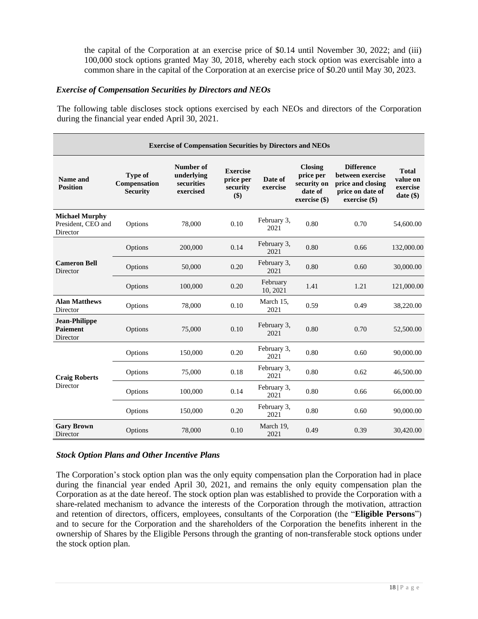the capital of the Corporation at an exercise price of \$0.14 until November 30, 2022; and (iii) 100,000 stock options granted May 30, 2018, whereby each stock option was exercisable into a common share in the capital of the Corporation at an exercise price of \$0.20 until May 30, 2023.

### *Exercise of Compensation Securities by Directors and NEOs*

The following table discloses stock options exercised by each NEOs and directors of the Corporation during the financial year ended April 30, 2021.

| <b>Exercise of Compensation Securities by Directors and NEOs</b> |                                                   |                                                    |                                                 |                      |                                                                        |                                                                                                   |                                                |  |
|------------------------------------------------------------------|---------------------------------------------------|----------------------------------------------------|-------------------------------------------------|----------------------|------------------------------------------------------------------------|---------------------------------------------------------------------------------------------------|------------------------------------------------|--|
| Name and<br><b>Position</b>                                      | <b>Type of</b><br>Compensation<br><b>Security</b> | Number of<br>underlying<br>securities<br>exercised | <b>Exercise</b><br>price per<br>security<br>\$) | Date of<br>exercise  | <b>Closing</b><br>price per<br>security on<br>date of<br>exercise (\$) | <b>Difference</b><br>between exercise<br>price and closing<br>price on date of<br>$exercise (\$)$ | <b>Total</b><br>value on<br>exercise<br>date() |  |
| <b>Michael Murphy</b><br>President, CEO and<br>Director          | Options                                           | 78,000                                             | 0.10                                            | February 3,<br>2021  | 0.80                                                                   | 0.70                                                                                              | 54,600.00                                      |  |
| <b>Cameron Bell</b><br>Director                                  | Options                                           | 200,000                                            | 0.14                                            | February 3,<br>2021  | 0.80                                                                   | 0.66                                                                                              | 132,000.00                                     |  |
|                                                                  | Options                                           | 50,000                                             | 0.20                                            | February 3,<br>2021  | 0.80                                                                   | 0.60                                                                                              | 30,000.00                                      |  |
|                                                                  | Options                                           | 100,000                                            | 0.20                                            | February<br>10, 2021 | 1.41                                                                   | 1.21                                                                                              | 121,000.00                                     |  |
| <b>Alan Matthews</b><br>Director                                 | Options                                           | 78,000                                             | 0.10                                            | March 15,<br>2021    | 0.59                                                                   | 0.49                                                                                              | 38,220.00                                      |  |
| <b>Jean-Philippe</b><br><b>Paiement</b><br>Director              | Options                                           | 75,000                                             | 0.10                                            | February 3,<br>2021  | 0.80                                                                   | 0.70                                                                                              | 52,500.00                                      |  |
|                                                                  | Options                                           | 150,000                                            | 0.20                                            | February 3,<br>2021  | 0.80                                                                   | 0.60                                                                                              | 90,000.00                                      |  |
| <b>Craig Roberts</b><br>Director                                 | Options                                           | 75,000                                             | 0.18                                            | February 3,<br>2021  | 0.80                                                                   | 0.62                                                                                              | 46,500.00                                      |  |
|                                                                  | Options                                           | 100,000                                            | 0.14                                            | February 3,<br>2021  | 0.80                                                                   | 0.66                                                                                              | 66,000.00                                      |  |
|                                                                  | Options                                           | 150,000                                            | 0.20                                            | February 3,<br>2021  | 0.80                                                                   | 0.60                                                                                              | 90,000.00                                      |  |
| <b>Gary Brown</b><br>Director                                    | Options                                           | 78,000                                             | 0.10                                            | March 19,<br>2021    | 0.49                                                                   | 0.39                                                                                              | 30,420.00                                      |  |

# *Stock Option Plans and Other Incentive Plans*

The Corporation's stock option plan was the only equity compensation plan the Corporation had in place during the financial year ended April 30, 2021, and remains the only equity compensation plan the Corporation as at the date hereof. The stock option plan was established to provide the Corporation with a share-related mechanism to advance the interests of the Corporation through the motivation, attraction and retention of directors, officers, employees, consultants of the Corporation (the "**Eligible Persons**") and to secure for the Corporation and the shareholders of the Corporation the benefits inherent in the ownership of Shares by the Eligible Persons through the granting of non-transferable stock options under the stock option plan.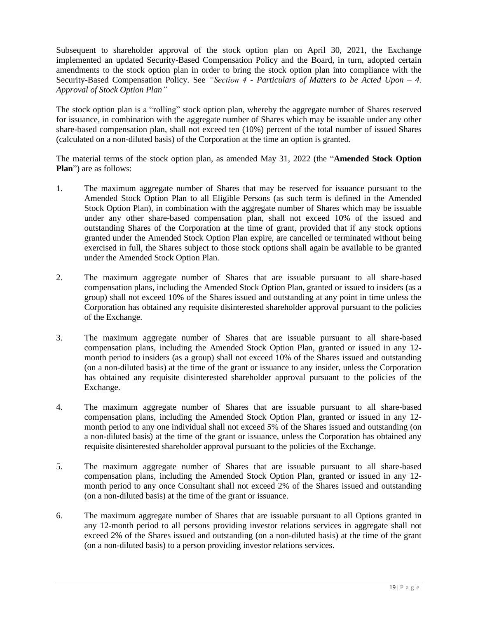Subsequent to shareholder approval of the stock option plan on April 30, 2021, the Exchange implemented an updated Security-Based Compensation Policy and the Board, in turn, adopted certain amendments to the stock option plan in order to bring the stock option plan into compliance with the Security-Based Compensation Policy. See *"Section 4 - Particulars of Matters to be Acted Upon – 4. Approval of Stock Option Plan"*

The stock option plan is a "rolling" stock option plan, whereby the aggregate number of Shares reserved for issuance, in combination with the aggregate number of Shares which may be issuable under any other share-based compensation plan, shall not exceed ten (10%) percent of the total number of issued Shares (calculated on a non-diluted basis) of the Corporation at the time an option is granted.

The material terms of the stock option plan, as amended May 31, 2022 (the "**Amended Stock Option Plan**") are as follows:

- 1. The maximum aggregate number of Shares that may be reserved for issuance pursuant to the Amended Stock Option Plan to all Eligible Persons (as such term is defined in the Amended Stock Option Plan), in combination with the aggregate number of Shares which may be issuable under any other share-based compensation plan, shall not exceed 10% of the issued and outstanding Shares of the Corporation at the time of grant, provided that if any stock options granted under the Amended Stock Option Plan expire, are cancelled or terminated without being exercised in full, the Shares subject to those stock options shall again be available to be granted under the Amended Stock Option Plan.
- 2. The maximum aggregate number of Shares that are issuable pursuant to all share-based compensation plans, including the Amended Stock Option Plan, granted or issued to insiders (as a group) shall not exceed 10% of the Shares issued and outstanding at any point in time unless the Corporation has obtained any requisite disinterested shareholder approval pursuant to the policies of the Exchange.
- 3. The maximum aggregate number of Shares that are issuable pursuant to all share-based compensation plans, including the Amended Stock Option Plan, granted or issued in any 12 month period to insiders (as a group) shall not exceed 10% of the Shares issued and outstanding (on a non-diluted basis) at the time of the grant or issuance to any insider, unless the Corporation has obtained any requisite disinterested shareholder approval pursuant to the policies of the Exchange.
- 4. The maximum aggregate number of Shares that are issuable pursuant to all share-based compensation plans, including the Amended Stock Option Plan, granted or issued in any 12 month period to any one individual shall not exceed 5% of the Shares issued and outstanding (on a non-diluted basis) at the time of the grant or issuance, unless the Corporation has obtained any requisite disinterested shareholder approval pursuant to the policies of the Exchange.
- 5. The maximum aggregate number of Shares that are issuable pursuant to all share-based compensation plans, including the Amended Stock Option Plan, granted or issued in any 12 month period to any once Consultant shall not exceed 2% of the Shares issued and outstanding (on a non-diluted basis) at the time of the grant or issuance.
- 6. The maximum aggregate number of Shares that are issuable pursuant to all Options granted in any 12-month period to all persons providing investor relations services in aggregate shall not exceed 2% of the Shares issued and outstanding (on a non-diluted basis) at the time of the grant (on a non-diluted basis) to a person providing investor relations services.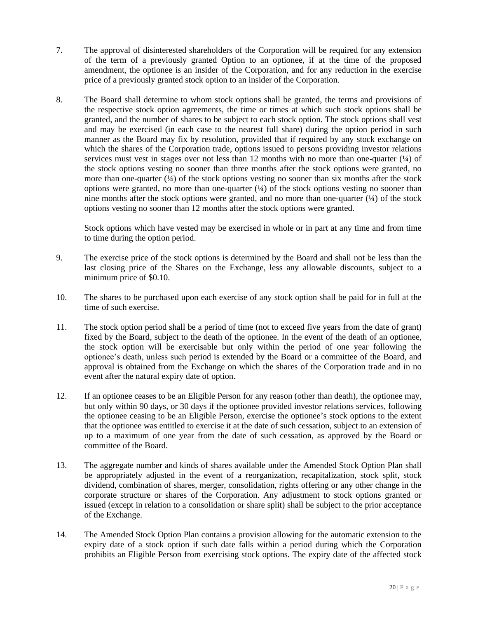- 7. The approval of disinterested shareholders of the Corporation will be required for any extension of the term of a previously granted Option to an optionee, if at the time of the proposed amendment, the optionee is an insider of the Corporation, and for any reduction in the exercise price of a previously granted stock option to an insider of the Corporation.
- 8. The Board shall determine to whom stock options shall be granted, the terms and provisions of the respective stock option agreements, the time or times at which such stock options shall be granted, and the number of shares to be subject to each stock option. The stock options shall vest and may be exercised (in each case to the nearest full share) during the option period in such manner as the Board may fix by resolution, provided that if required by any stock exchange on which the shares of the Corporation trade, options issued to persons providing investor relations services must vest in stages over not less than 12 months with no more than one-quarter  $(½)$  of the stock options vesting no sooner than three months after the stock options were granted, no more than one-quarter  $(\frac{1}{4})$  of the stock options vesting no sooner than six months after the stock options were granted, no more than one-quarter  $(4)$  of the stock options vesting no sooner than nine months after the stock options were granted, and no more than one-quarter  $(1/4)$  of the stock options vesting no sooner than 12 months after the stock options were granted.

Stock options which have vested may be exercised in whole or in part at any time and from time to time during the option period.

- 9. The exercise price of the stock options is determined by the Board and shall not be less than the last closing price of the Shares on the Exchange, less any allowable discounts, subject to a minimum price of \$0.10.
- 10. The shares to be purchased upon each exercise of any stock option shall be paid for in full at the time of such exercise.
- 11. The stock option period shall be a period of time (not to exceed five years from the date of grant) fixed by the Board, subject to the death of the optionee. In the event of the death of an optionee, the stock option will be exercisable but only within the period of one year following the optionee's death, unless such period is extended by the Board or a committee of the Board, and approval is obtained from the Exchange on which the shares of the Corporation trade and in no event after the natural expiry date of option.
- 12. If an optionee ceases to be an Eligible Person for any reason (other than death), the optionee may, but only within 90 days, or 30 days if the optionee provided investor relations services, following the optionee ceasing to be an Eligible Person, exercise the optionee's stock options to the extent that the optionee was entitled to exercise it at the date of such cessation, subject to an extension of up to a maximum of one year from the date of such cessation, as approved by the Board or committee of the Board.
- 13. The aggregate number and kinds of shares available under the Amended Stock Option Plan shall be appropriately adjusted in the event of a reorganization, recapitalization, stock split, stock dividend, combination of shares, merger, consolidation, rights offering or any other change in the corporate structure or shares of the Corporation. Any adjustment to stock options granted or issued (except in relation to a consolidation or share split) shall be subject to the prior acceptance of the Exchange.
- 14. The Amended Stock Option Plan contains a provision allowing for the automatic extension to the expiry date of a stock option if such date falls within a period during which the Corporation prohibits an Eligible Person from exercising stock options. The expiry date of the affected stock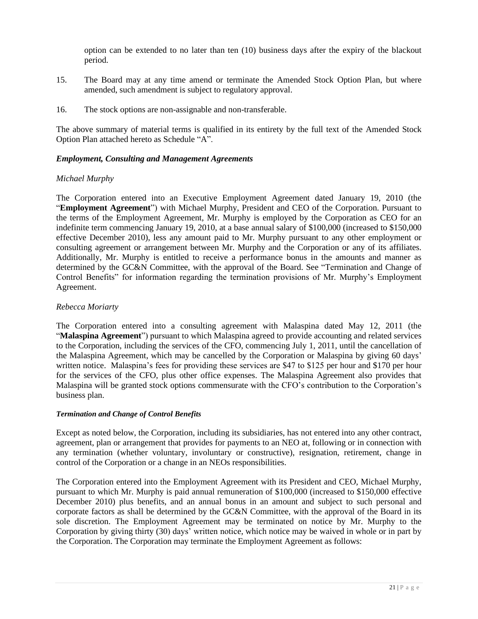option can be extended to no later than ten (10) business days after the expiry of the blackout period.

- 15. The Board may at any time amend or terminate the Amended Stock Option Plan, but where amended, such amendment is subject to regulatory approval.
- 16. The stock options are non-assignable and non-transferable.

The above summary of material terms is qualified in its entirety by the full text of the Amended Stock Option Plan attached hereto as Schedule "A".

# *Employment, Consulting and Management Agreements*

# *Michael Murphy*

The Corporation entered into an Executive Employment Agreement dated January 19, 2010 (the "**Employment Agreement**") with Michael Murphy, President and CEO of the Corporation. Pursuant to the terms of the Employment Agreement, Mr. Murphy is employed by the Corporation as CEO for an indefinite term commencing January 19, 2010, at a base annual salary of \$100,000 (increased to \$150,000 effective December 2010), less any amount paid to Mr. Murphy pursuant to any other employment or consulting agreement or arrangement between Mr. Murphy and the Corporation or any of its affiliates. Additionally, Mr. Murphy is entitled to receive a performance bonus in the amounts and manner as determined by the GC&N Committee, with the approval of the Board. See "Termination and Change of Control Benefits" for information regarding the termination provisions of Mr. Murphy's Employment Agreement.

# *Rebecca Moriarty*

The Corporation entered into a consulting agreement with Malaspina dated May 12, 2011 (the "**Malaspina Agreement**") pursuant to which Malaspina agreed to provide accounting and related services to the Corporation, including the services of the CFO, commencing July 1, 2011, until the cancellation of the Malaspina Agreement, which may be cancelled by the Corporation or Malaspina by giving 60 days' written notice. Malaspina's fees for providing these services are \$47 to \$125 per hour and \$170 per hour for the services of the CFO, plus other office expenses. The Malaspina Agreement also provides that Malaspina will be granted stock options commensurate with the CFO's contribution to the Corporation's business plan.

# *Termination and Change of Control Benefits*

Except as noted below, the Corporation, including its subsidiaries, has not entered into any other contract, agreement, plan or arrangement that provides for payments to an NEO at, following or in connection with any termination (whether voluntary, involuntary or constructive), resignation, retirement, change in control of the Corporation or a change in an NEOs responsibilities.

The Corporation entered into the Employment Agreement with its President and CEO, Michael Murphy, pursuant to which Mr. Murphy is paid annual remuneration of \$100,000 (increased to \$150,000 effective December 2010) plus benefits, and an annual bonus in an amount and subject to such personal and corporate factors as shall be determined by the GC&N Committee, with the approval of the Board in its sole discretion. The Employment Agreement may be terminated on notice by Mr. Murphy to the Corporation by giving thirty (30) days' written notice, which notice may be waived in whole or in part by the Corporation. The Corporation may terminate the Employment Agreement as follows: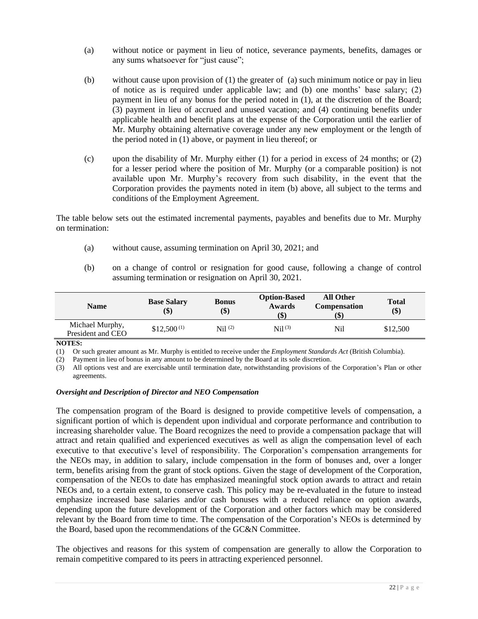- (a) without notice or payment in lieu of notice, severance payments, benefits, damages or any sums whatsoever for "just cause";
- (b) without cause upon provision of (1) the greater of (a) such minimum notice or pay in lieu of notice as is required under applicable law; and (b) one months' base salary; (2) payment in lieu of any bonus for the period noted in (1), at the discretion of the Board; (3) payment in lieu of accrued and unused vacation; and (4) continuing benefits under applicable health and benefit plans at the expense of the Corporation until the earlier of Mr. Murphy obtaining alternative coverage under any new employment or the length of the period noted in (1) above, or payment in lieu thereof; or
- (c) upon the disability of Mr. Murphy either (1) for a period in excess of 24 months; or (2) for a lesser period where the position of Mr. Murphy (or a comparable position) is not available upon Mr. Murphy's recovery from such disability, in the event that the Corporation provides the payments noted in item (b) above, all subject to the terms and conditions of the Employment Agreement.

The table below sets out the estimated incremental payments, payables and benefits due to Mr. Murphy on termination:

- (a) without cause, assuming termination on April 30, 2021; and
- (b) on a change of control or resignation for good cause, following a change of control assuming termination or resignation on April 30, 2021.

| <b>Name</b>                          | <b>Base Salary</b><br>\$) | <b>Bonus</b><br>\$) | <b>Option-Based</b><br>Awards<br>(\$) | <b>All Other</b><br><b>Compensation</b><br>\$) | <b>Total</b><br>\$) |
|--------------------------------------|---------------------------|---------------------|---------------------------------------|------------------------------------------------|---------------------|
| Michael Murphy,<br>President and CEO | $$12,500^{(1)}$           | Ni1 <sup>(2)</sup>  | $Ni1^{(3)}$                           | Nil                                            | \$12,500            |

**NOTES:**

(1) Or such greater amount as Mr. Murphy is entitled to receive under the *Employment Standards Act* (British Columbia).

(2) Payment in lieu of bonus in any amount to be determined by the Board at its sole discretion.

(3) All options vest and are exercisable until termination date, notwithstanding provisions of the Corporation's Plan or other agreements.

### *Oversight and Description of Director and NEO Compensation*

The compensation program of the Board is designed to provide competitive levels of compensation, a significant portion of which is dependent upon individual and corporate performance and contribution to increasing shareholder value. The Board recognizes the need to provide a compensation package that will attract and retain qualified and experienced executives as well as align the compensation level of each executive to that executive's level of responsibility. The Corporation's compensation arrangements for the NEOs may, in addition to salary, include compensation in the form of bonuses and, over a longer term, benefits arising from the grant of stock options. Given the stage of development of the Corporation, compensation of the NEOs to date has emphasized meaningful stock option awards to attract and retain NEOs and, to a certain extent, to conserve cash. This policy may be re-evaluated in the future to instead emphasize increased base salaries and/or cash bonuses with a reduced reliance on option awards, depending upon the future development of the Corporation and other factors which may be considered relevant by the Board from time to time. The compensation of the Corporation's NEOs is determined by the Board, based upon the recommendations of the GC&N Committee.

The objectives and reasons for this system of compensation are generally to allow the Corporation to remain competitive compared to its peers in attracting experienced personnel.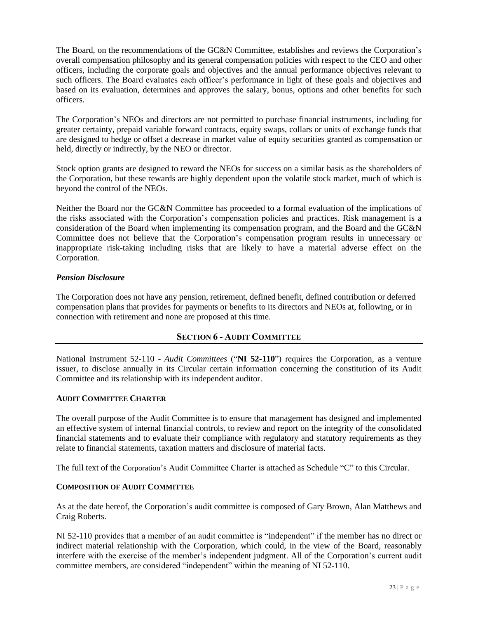The Board, on the recommendations of the GC&N Committee, establishes and reviews the Corporation's overall compensation philosophy and its general compensation policies with respect to the CEO and other officers, including the corporate goals and objectives and the annual performance objectives relevant to such officers. The Board evaluates each officer's performance in light of these goals and objectives and based on its evaluation, determines and approves the salary, bonus, options and other benefits for such officers.

The Corporation's NEOs and directors are not permitted to purchase financial instruments, including for greater certainty, prepaid variable forward contracts, equity swaps, collars or units of exchange funds that are designed to hedge or offset a decrease in market value of equity securities granted as compensation or held, directly or indirectly, by the NEO or director.

Stock option grants are designed to reward the NEOs for success on a similar basis as the shareholders of the Corporation, but these rewards are highly dependent upon the volatile stock market, much of which is beyond the control of the NEOs.

Neither the Board nor the GC&N Committee has proceeded to a formal evaluation of the implications of the risks associated with the Corporation's compensation policies and practices. Risk management is a consideration of the Board when implementing its compensation program, and the Board and the GC&N Committee does not believe that the Corporation's compensation program results in unnecessary or inappropriate risk-taking including risks that are likely to have a material adverse effect on the Corporation.

# *Pension Disclosure*

The Corporation does not have any pension, retirement, defined benefit, defined contribution or deferred compensation plans that provides for payments or benefits to its directors and NEOs at, following, or in connection with retirement and none are proposed at this time.

# **SECTION 6 - AUDIT COMMITTEE**

National Instrument 52-110 - *Audit Committees* ("**NI 52-110**") requires the Corporation, as a venture issuer, to disclose annually in its Circular certain information concerning the constitution of its Audit Committee and its relationship with its independent auditor.

# **AUDIT COMMITTEE CHARTER**

The overall purpose of the Audit Committee is to ensure that management has designed and implemented an effective system of internal financial controls, to review and report on the integrity of the consolidated financial statements and to evaluate their compliance with regulatory and statutory requirements as they relate to financial statements, taxation matters and disclosure of material facts.

The full text of the Corporation's Audit Committee Charter is attached as Schedule "C" to this Circular.

# **COMPOSITION OF AUDIT COMMITTEE**

As at the date hereof, the Corporation's audit committee is composed of Gary Brown, Alan Matthews and Craig Roberts.

NI 52-110 provides that a member of an audit committee is "independent" if the member has no direct or indirect material relationship with the Corporation, which could, in the view of the Board, reasonably interfere with the exercise of the member's independent judgment. All of the Corporation's current audit committee members, are considered "independent" within the meaning of NI 52-110.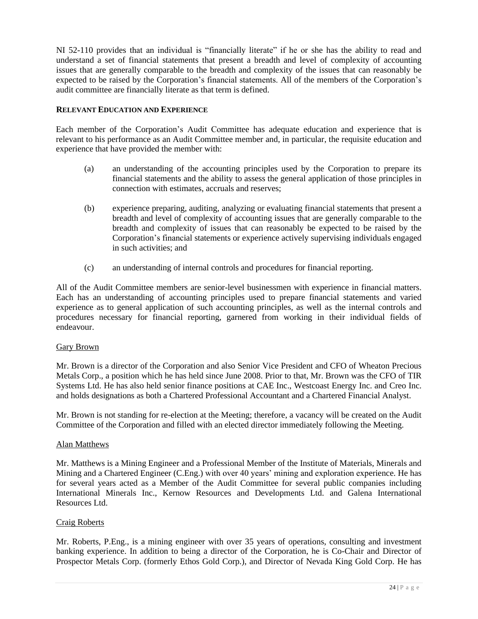NI 52-110 provides that an individual is "financially literate" if he or she has the ability to read and understand a set of financial statements that present a breadth and level of complexity of accounting issues that are generally comparable to the breadth and complexity of the issues that can reasonably be expected to be raised by the Corporation's financial statements. All of the members of the Corporation's audit committee are financially literate as that term is defined.

# **RELEVANT EDUCATION AND EXPERIENCE**

Each member of the Corporation's Audit Committee has adequate education and experience that is relevant to his performance as an Audit Committee member and, in particular, the requisite education and experience that have provided the member with:

- (a) an understanding of the accounting principles used by the Corporation to prepare its financial statements and the ability to assess the general application of those principles in connection with estimates, accruals and reserves;
- (b) experience preparing, auditing, analyzing or evaluating financial statements that present a breadth and level of complexity of accounting issues that are generally comparable to the breadth and complexity of issues that can reasonably be expected to be raised by the Corporation's financial statements or experience actively supervising individuals engaged in such activities; and
- (c) an understanding of internal controls and procedures for financial reporting.

All of the Audit Committee members are senior-level businessmen with experience in financial matters. Each has an understanding of accounting principles used to prepare financial statements and varied experience as to general application of such accounting principles, as well as the internal controls and procedures necessary for financial reporting, garnered from working in their individual fields of endeavour.

# Gary Brown

Mr. Brown is a director of the Corporation and also Senior Vice President and CFO of Wheaton Precious Metals Corp., a position which he has held since June 2008. Prior to that, Mr. Brown was the CFO of TIR Systems Ltd. He has also held senior finance positions at CAE Inc., Westcoast Energy Inc. and Creo Inc. and holds designations as both a Chartered Professional Accountant and a Chartered Financial Analyst.

Mr. Brown is not standing for re-election at the Meeting; therefore, a vacancy will be created on the Audit Committee of the Corporation and filled with an elected director immediately following the Meeting.

# Alan Matthews

Mr. Matthews is a Mining Engineer and a Professional Member of the Institute of Materials, Minerals and Mining and a Chartered Engineer (C.Eng.) with over 40 years' mining and exploration experience. He has for several years acted as a Member of the Audit Committee for several public companies including International Minerals Inc., Kernow Resources and Developments Ltd. and Galena International Resources Ltd.

# Craig Roberts

Mr. Roberts, P.Eng., is a mining engineer with over 35 years of operations, consulting and investment banking experience. In addition to being a director of the Corporation, he is Co-Chair and Director of Prospector Metals Corp. (formerly Ethos Gold Corp.), and Director of Nevada King Gold Corp. He has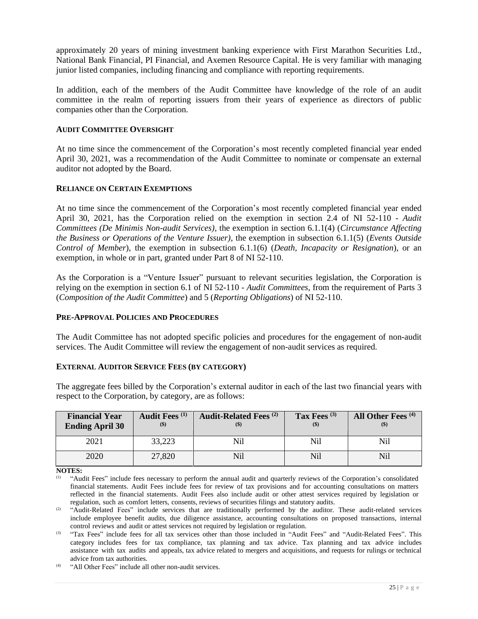approximately 20 years of mining investment banking experience with First Marathon Securities Ltd., National Bank Financial, PI Financial, and Axemen Resource Capital. He is very familiar with managing junior listed companies, including financing and compliance with reporting requirements.

In addition, each of the members of the Audit Committee have knowledge of the role of an audit committee in the realm of reporting issuers from their years of experience as directors of public companies other than the Corporation.

# **AUDIT COMMITTEE OVERSIGHT**

At no time since the commencement of the Corporation's most recently completed financial year ended April 30, 2021, was a recommendation of the Audit Committee to nominate or compensate an external auditor not adopted by the Board.

### **RELIANCE ON CERTAIN EXEMPTIONS**

At no time since the commencement of the Corporation's most recently completed financial year ended April 30, 2021, has the Corporation relied on the exemption in section 2.4 of NI 52-110 - *Audit Committees (De Minimis Non-audit Services)*, the exemption in section 6.1.1(4) (*Circumstance Affecting the Business or Operations of the Venture Issuer)*, the exemption in subsection 6.1.1(5) (*Events Outside Control of Member*), the exemption in subsection 6.1.1(6) (*Death, Incapacity or Resignation*), or an exemption, in whole or in part, granted under Part 8 of NI 52-110.

As the Corporation is a "Venture Issuer" pursuant to relevant securities legislation, the Corporation is relying on the exemption in section 6.1 of NI 52-110 - *Audit Committees*, from the requirement of Parts 3 (*Composition of the Audit Committee*) and 5 (*Reporting Obligations*) of NI 52-110.

#### **PRE-APPROVAL POLICIES AND PROCEDURES**

The Audit Committee has not adopted specific policies and procedures for the engagement of non-audit services. The Audit Committee will review the engagement of non-audit services as required.

#### **EXTERNAL AUDITOR SERVICE FEES (BY CATEGORY)**

| <b>Financial Year</b><br><b>Ending April 30</b> | Audit Fees <sup>(1)</sup><br>$($ \$) | <b>Audit-Related Fees</b> <sup>(2)</sup> | Tax Fees $(3)$<br>$($ \$) | All Other Fees <sup>(4)</sup> |
|-------------------------------------------------|--------------------------------------|------------------------------------------|---------------------------|-------------------------------|
| 2021                                            | 33,223                               |                                          | Nil                       | Nil                           |
| 2020                                            | 27,820                               |                                          | Nil                       | Ni1                           |

The aggregate fees billed by the Corporation's external auditor in each of the last two financial years with respect to the Corporation, by category, are as follows:

**NOTES:**

(1) "Audit Fees" include fees necessary to perform the annual audit and quarterly reviews of the Corporation's consolidated financial statements. Audit Fees include fees for review of tax provisions and for accounting consultations on matters reflected in the financial statements. Audit Fees also include audit or other attest services required by legislation or regulation, such as comfort letters, consents, reviews of securities filings and statutory audits.

<sup>(2)</sup> "Audit-Related Fees" include services that are traditionally performed by the auditor. These audit-related services include employee benefit audits, due diligence assistance, accounting consultations on proposed transactions, internal control reviews and audit or attest services not required by legislation or regulation.

(3) "Tax Fees" include fees for all tax services other than those included in "Audit Fees" and "Audit-Related Fees". This category includes fees for tax compliance, tax planning and tax advice. Tax planning and tax advice includes assistance with tax audits and appeals, tax advice related to mergers and acquisitions, and requests for rulings or technical advice from tax authorities.

(4) "All Other Fees" include all other non-audit services.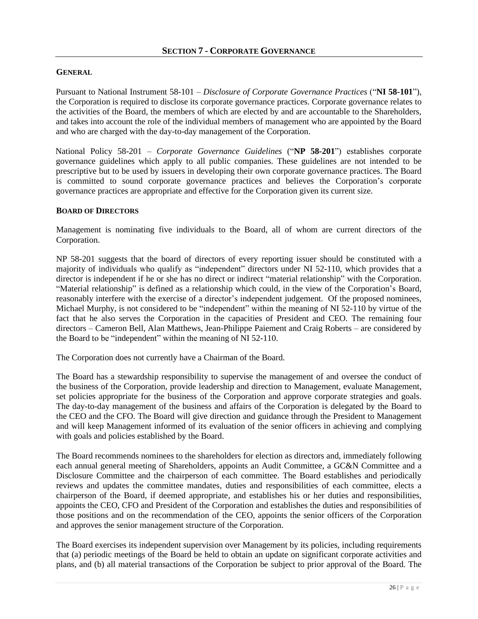### **GENERAL**

Pursuant to National Instrument 58-101 – *Disclosure of Corporate Governance Practices* ("**NI 58-101**"), the Corporation is required to disclose its corporate governance practices. Corporate governance relates to the activities of the Board, the members of which are elected by and are accountable to the Shareholders, and takes into account the role of the individual members of management who are appointed by the Board and who are charged with the day-to-day management of the Corporation.

National Policy 58-201 – *Corporate Governance Guidelines* ("**NP 58-201**") establishes corporate governance guidelines which apply to all public companies. These guidelines are not intended to be prescriptive but to be used by issuers in developing their own corporate governance practices. The Board is committed to sound corporate governance practices and believes the Corporation's corporate governance practices are appropriate and effective for the Corporation given its current size.

### **BOARD OF DIRECTORS**

Management is nominating five individuals to the Board, all of whom are current directors of the Corporation.

NP 58-201 suggests that the board of directors of every reporting issuer should be constituted with a majority of individuals who qualify as "independent" directors under NI 52-110, which provides that a director is independent if he or she has no direct or indirect "material relationship" with the Corporation. "Material relationship" is defined as a relationship which could, in the view of the Corporation's Board, reasonably interfere with the exercise of a director's independent judgement. Of the proposed nominees, Michael Murphy, is not considered to be "independent" within the meaning of NI 52-110 by virtue of the fact that he also serves the Corporation in the capacities of President and CEO. The remaining four directors – Cameron Bell, Alan Matthews, Jean-Philippe Paiement and Craig Roberts – are considered by the Board to be "independent" within the meaning of NI 52-110.

The Corporation does not currently have a Chairman of the Board.

The Board has a stewardship responsibility to supervise the management of and oversee the conduct of the business of the Corporation, provide leadership and direction to Management, evaluate Management, set policies appropriate for the business of the Corporation and approve corporate strategies and goals. The day-to-day management of the business and affairs of the Corporation is delegated by the Board to the CEO and the CFO. The Board will give direction and guidance through the President to Management and will keep Management informed of its evaluation of the senior officers in achieving and complying with goals and policies established by the Board.

The Board recommends nominees to the shareholders for election as directors and, immediately following each annual general meeting of Shareholders, appoints an Audit Committee, a GC&N Committee and a Disclosure Committee and the chairperson of each committee. The Board establishes and periodically reviews and updates the committee mandates, duties and responsibilities of each committee, elects a chairperson of the Board, if deemed appropriate, and establishes his or her duties and responsibilities, appoints the CEO, CFO and President of the Corporation and establishes the duties and responsibilities of those positions and on the recommendation of the CEO, appoints the senior officers of the Corporation and approves the senior management structure of the Corporation.

The Board exercises its independent supervision over Management by its policies, including requirements that (a) periodic meetings of the Board be held to obtain an update on significant corporate activities and plans, and (b) all material transactions of the Corporation be subject to prior approval of the Board. The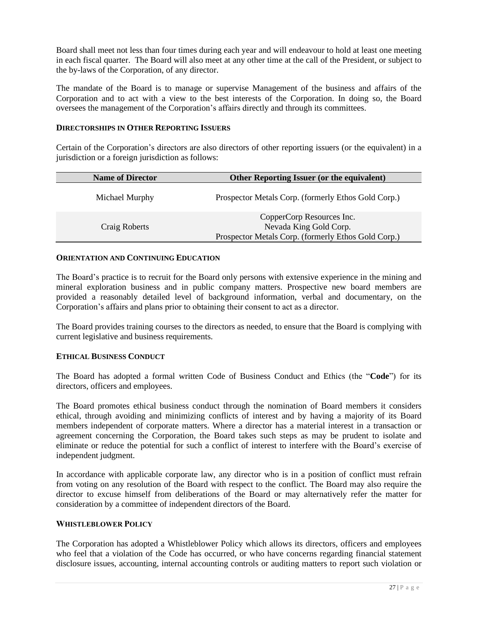Board shall meet not less than four times during each year and will endeavour to hold at least one meeting in each fiscal quarter. The Board will also meet at any other time at the call of the President, or subject to the by-laws of the Corporation, of any director.

The mandate of the Board is to manage or supervise Management of the business and affairs of the Corporation and to act with a view to the best interests of the Corporation. In doing so, the Board oversees the management of the Corporation's affairs directly and through its committees.

### **DIRECTORSHIPS IN OTHER REPORTING ISSUERS**

Certain of the Corporation's directors are also directors of other reporting issuers (or the equivalent) in a jurisdiction or a foreign jurisdiction as follows:

| <b>Name of Director</b> | Other Reporting Issuer (or the equivalent)                                                                 |
|-------------------------|------------------------------------------------------------------------------------------------------------|
| Michael Murphy          | Prospector Metals Corp. (formerly Ethos Gold Corp.)                                                        |
| Craig Roberts           | CopperCorp Resources Inc.<br>Nevada King Gold Corp.<br>Prospector Metals Corp. (formerly Ethos Gold Corp.) |

# **ORIENTATION AND CONTINUING EDUCATION**

The Board's practice is to recruit for the Board only persons with extensive experience in the mining and mineral exploration business and in public company matters. Prospective new board members are provided a reasonably detailed level of background information, verbal and documentary, on the Corporation's affairs and plans prior to obtaining their consent to act as a director.

The Board provides training courses to the directors as needed, to ensure that the Board is complying with current legislative and business requirements.

# **ETHICAL BUSINESS CONDUCT**

The Board has adopted a formal written Code of Business Conduct and Ethics (the "**Code**") for its directors, officers and employees.

The Board promotes ethical business conduct through the nomination of Board members it considers ethical, through avoiding and minimizing conflicts of interest and by having a majority of its Board members independent of corporate matters. Where a director has a material interest in a transaction or agreement concerning the Corporation, the Board takes such steps as may be prudent to isolate and eliminate or reduce the potential for such a conflict of interest to interfere with the Board's exercise of independent judgment.

In accordance with applicable corporate law, any director who is in a position of conflict must refrain from voting on any resolution of the Board with respect to the conflict. The Board may also require the director to excuse himself from deliberations of the Board or may alternatively refer the matter for consideration by a committee of independent directors of the Board.

#### **WHISTLEBLOWER POLICY**

The Corporation has adopted a Whistleblower Policy which allows its directors, officers and employees who feel that a violation of the Code has occurred, or who have concerns regarding financial statement disclosure issues, accounting, internal accounting controls or auditing matters to report such violation or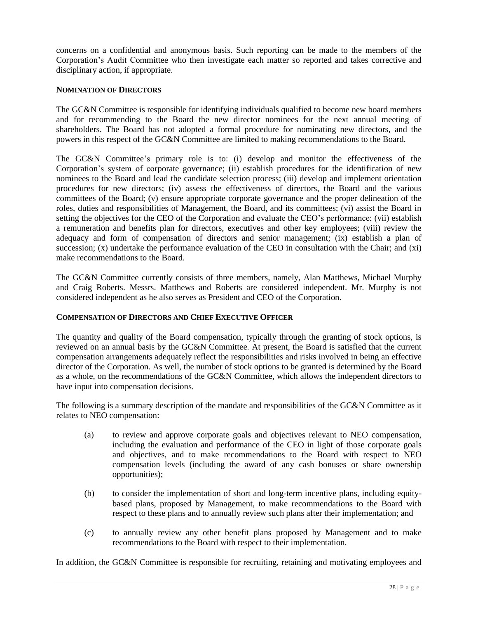concerns on a confidential and anonymous basis. Such reporting can be made to the members of the Corporation's Audit Committee who then investigate each matter so reported and takes corrective and disciplinary action, if appropriate.

# **NOMINATION OF DIRECTORS**

The GC&N Committee is responsible for identifying individuals qualified to become new board members and for recommending to the Board the new director nominees for the next annual meeting of shareholders. The Board has not adopted a formal procedure for nominating new directors, and the powers in this respect of the GC&N Committee are limited to making recommendations to the Board.

The GC&N Committee's primary role is to: (i) develop and monitor the effectiveness of the Corporation's system of corporate governance; (ii) establish procedures for the identification of new nominees to the Board and lead the candidate selection process; (iii) develop and implement orientation procedures for new directors; (iv) assess the effectiveness of directors, the Board and the various committees of the Board; (v) ensure appropriate corporate governance and the proper delineation of the roles, duties and responsibilities of Management, the Board, and its committees; (vi) assist the Board in setting the objectives for the CEO of the Corporation and evaluate the CEO's performance; (vii) establish a remuneration and benefits plan for directors, executives and other key employees; (viii) review the adequacy and form of compensation of directors and senior management; (ix) establish a plan of succession; (x) undertake the performance evaluation of the CEO in consultation with the Chair; and (xi) make recommendations to the Board.

The GC&N Committee currently consists of three members, namely, Alan Matthews, Michael Murphy and Craig Roberts. Messrs. Matthews and Roberts are considered independent. Mr. Murphy is not considered independent as he also serves as President and CEO of the Corporation.

# **COMPENSATION OF DIRECTORS AND CHIEF EXECUTIVE OFFICER**

The quantity and quality of the Board compensation, typically through the granting of stock options, is reviewed on an annual basis by the GC&N Committee. At present, the Board is satisfied that the current compensation arrangements adequately reflect the responsibilities and risks involved in being an effective director of the Corporation. As well, the number of stock options to be granted is determined by the Board as a whole, on the recommendations of the GC&N Committee, which allows the independent directors to have input into compensation decisions.

The following is a summary description of the mandate and responsibilities of the GC&N Committee as it relates to NEO compensation:

- (a) to review and approve corporate goals and objectives relevant to NEO compensation, including the evaluation and performance of the CEO in light of those corporate goals and objectives, and to make recommendations to the Board with respect to NEO compensation levels (including the award of any cash bonuses or share ownership opportunities);
- (b) to consider the implementation of short and long-term incentive plans, including equitybased plans, proposed by Management, to make recommendations to the Board with respect to these plans and to annually review such plans after their implementation; and
- (c) to annually review any other benefit plans proposed by Management and to make recommendations to the Board with respect to their implementation.

In addition, the GC&N Committee is responsible for recruiting, retaining and motivating employees and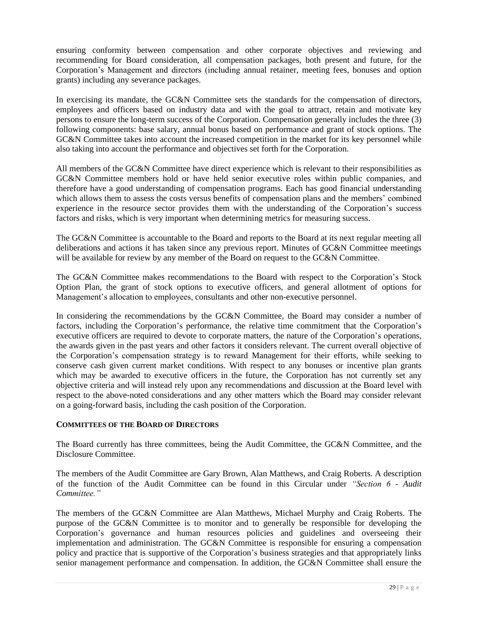ensuring conformity between compensation and other corporate objectives and reviewing and recommending for Board consideration, all compensation packages, both present and future, for the Corporation's Management and directors (including annual retainer, meeting fees, bonuses and option grants) including any severance packages.

In exercising its mandate, the GC&N Committee sets the standards for the compensation of directors, employees and officers based on industry data and with the goal to attract, retain and motivate key persons to ensure the long-term success of the Corporation. Compensation generally includes the three (3) following components: base salary, annual bonus based on performance and grant of stock options. The GC&N Committee takes into account the increased competition in the market for its key personnel while also taking into account the performance and objectives set forth for the Corporation.

All members of the GC&N Committee have direct experience which is relevant to their responsibilities as GC&N Committee members hold or have held senior executive roles within public companies, and therefore have a good understanding of compensation programs. Each has good financial understanding which allows them to assess the costs versus benefits of compensation plans and the members' combined experience in the resource sector provides them with the understanding of the Corporation's success factors and risks, which is very important when determining metrics for measuring success.

The GC&N Committee is accountable to the Board and reports to the Board at its next regular meeting all deliberations and actions it has taken since any previous report. Minutes of GC&N Committee meetings will be available for review by any member of the Board on request to the GC&N Committee.

The GC&N Committee makes recommendations to the Board with respect to the Corporation's Stock Option Plan, the grant of stock options to executive officers, and general allotment of options for Management's allocation to employees, consultants and other non-executive personnel.

In considering the recommendations by the GC&N Committee, the Board may consider a number of factors, including the Corporation's performance, the relative time commitment that the Corporation's executive officers are required to devote to corporate matters, the nature of the Corporation's operations, the awards given in the past years and other factors it considers relevant. The current overall objective of the Corporation's compensation strategy is to reward Management for their efforts, while seeking to conserve cash given current market conditions. With respect to any bonuses or incentive plan grants which may be awarded to executive officers in the future, the Corporation has not currently set any objective criteria and will instead rely upon any recommendations and discussion at the Board level with respect to the above-noted considerations and any other matters which the Board may consider relevant on a going-forward basis, including the cash position of the Corporation.

# **COMMITTEES OF THE BOARD OF DIRECTORS**

The Board currently has three committees, being the Audit Committee, the GC&N Committee, and the Disclosure Committee.

The members of the Audit Committee are Gary Brown, Alan Matthews, and Craig Roberts. A description of the function of the Audit Committee can be found in this Circular under *"Section 6 - Audit Committee."*

The members of the GC&N Committee are Alan Matthews, Michael Murphy and Craig Roberts. The purpose of the GC&N Committee is to monitor and to generally be responsible for developing the Corporation's governance and human resources policies and guidelines and overseeing their implementation and administration. The GC&N Committee is responsible for ensuring a compensation policy and practice that is supportive of the Corporation's business strategies and that appropriately links senior management performance and compensation. In addition, the GC&N Committee shall ensure the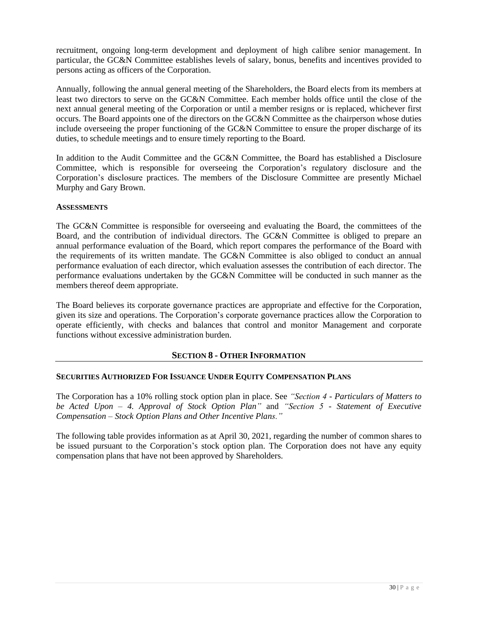recruitment, ongoing long-term development and deployment of high calibre senior management. In particular, the GC&N Committee establishes levels of salary, bonus, benefits and incentives provided to persons acting as officers of the Corporation.

Annually, following the annual general meeting of the Shareholders, the Board elects from its members at least two directors to serve on the GC&N Committee. Each member holds office until the close of the next annual general meeting of the Corporation or until a member resigns or is replaced, whichever first occurs. The Board appoints one of the directors on the GC&N Committee as the chairperson whose duties include overseeing the proper functioning of the GC&N Committee to ensure the proper discharge of its duties, to schedule meetings and to ensure timely reporting to the Board.

In addition to the Audit Committee and the GC&N Committee, the Board has established a Disclosure Committee, which is responsible for overseeing the Corporation's regulatory disclosure and the Corporation's disclosure practices. The members of the Disclosure Committee are presently Michael Murphy and Gary Brown.

# **ASSESSMENTS**

The GC&N Committee is responsible for overseeing and evaluating the Board, the committees of the Board, and the contribution of individual directors. The GC&N Committee is obliged to prepare an annual performance evaluation of the Board, which report compares the performance of the Board with the requirements of its written mandate. The GC&N Committee is also obliged to conduct an annual performance evaluation of each director, which evaluation assesses the contribution of each director. The performance evaluations undertaken by the GC&N Committee will be conducted in such manner as the members thereof deem appropriate.

The Board believes its corporate governance practices are appropriate and effective for the Corporation, given its size and operations. The Corporation's corporate governance practices allow the Corporation to operate efficiently, with checks and balances that control and monitor Management and corporate functions without excessive administration burden.

# **SECTION 8 - OTHER INFORMATION**

# **SECURITIES AUTHORIZED FOR ISSUANCE UNDER EQUITY COMPENSATION PLANS**

The Corporation has a 10% rolling stock option plan in place. See *"Section 4 - Particulars of Matters to be Acted Upon – 4. Approval of Stock Option Plan"* and *"Section 5 - Statement of Executive Compensation – Stock Option Plans and Other Incentive Plans."*

The following table provides information as at April 30, 2021, regarding the number of common shares to be issued pursuant to the Corporation's stock option plan. The Corporation does not have any equity compensation plans that have not been approved by Shareholders.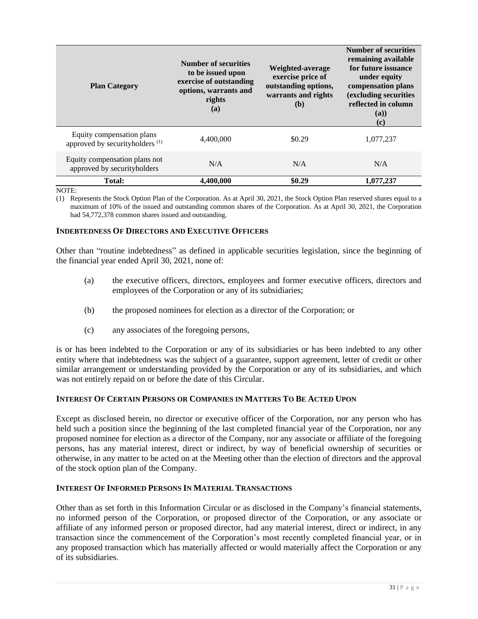| <b>Plan Category</b>                                                    | <b>Number of securities</b><br>to be issued upon<br>exercise of outstanding<br>options, warrants and<br>rights<br>(a) | Weighted-average<br>exercise price of<br>outstanding options,<br>warrants and rights<br>(b) | <b>Number of securities</b><br>remaining available<br>for future issuance<br>under equity<br>compensation plans<br>(excluding securities<br>reflected in column<br>(a)<br>$\left( \mathbf{c}\right)$ |
|-------------------------------------------------------------------------|-----------------------------------------------------------------------------------------------------------------------|---------------------------------------------------------------------------------------------|------------------------------------------------------------------------------------------------------------------------------------------------------------------------------------------------------|
| Equity compensation plans<br>approved by securityholders <sup>(1)</sup> | 4,400,000                                                                                                             | \$0.29                                                                                      | 1,077,237                                                                                                                                                                                            |
| Equity compensation plans not<br>approved by securityholders            | N/A                                                                                                                   | N/A                                                                                         | N/A                                                                                                                                                                                                  |
| <b>Total:</b>                                                           | 4.400.000                                                                                                             | \$0.29                                                                                      | 1.077.237                                                                                                                                                                                            |

NOTE:

(1) Represents the Stock Option Plan of the Corporation. As at April 30, 2021, the Stock Option Plan reserved shares equal to a maximum of 10% of the issued and outstanding common shares of the Corporation. As at April 30, 2021, the Corporation had 54,772,378 common shares issued and outstanding.

### **INDEBTEDNESS OF DIRECTORS AND EXECUTIVE OFFICERS**

Other than "routine indebtedness" as defined in applicable securities legislation, since the beginning of the financial year ended April 30, 2021, none of:

- (a) the executive officers, directors, employees and former executive officers, directors and employees of the Corporation or any of its subsidiaries;
- (b) the proposed nominees for election as a director of the Corporation; or
- (c) any associates of the foregoing persons,

is or has been indebted to the Corporation or any of its subsidiaries or has been indebted to any other entity where that indebtedness was the subject of a guarantee, support agreement, letter of credit or other similar arrangement or understanding provided by the Corporation or any of its subsidiaries, and which was not entirely repaid on or before the date of this Circular.

# **INTEREST OF CERTAIN PERSONS OR COMPANIES IN MATTERS TO BE ACTED UPON**

Except as disclosed herein, no director or executive officer of the Corporation, nor any person who has held such a position since the beginning of the last completed financial year of the Corporation, nor any proposed nominee for election as a director of the Company, nor any associate or affiliate of the foregoing persons, has any material interest, direct or indirect, by way of beneficial ownership of securities or otherwise, in any matter to be acted on at the Meeting other than the election of directors and the approval of the stock option plan of the Company.

# **INTEREST OF INFORMED PERSONS IN MATERIAL TRANSACTIONS**

Other than as set forth in this Information Circular or as disclosed in the Company's financial statements, no informed person of the Corporation, or proposed director of the Corporation, or any associate or affiliate of any informed person or proposed director, had any material interest, direct or indirect, in any transaction since the commencement of the Corporation's most recently completed financial year, or in any proposed transaction which has materially affected or would materially affect the Corporation or any of its subsidiaries.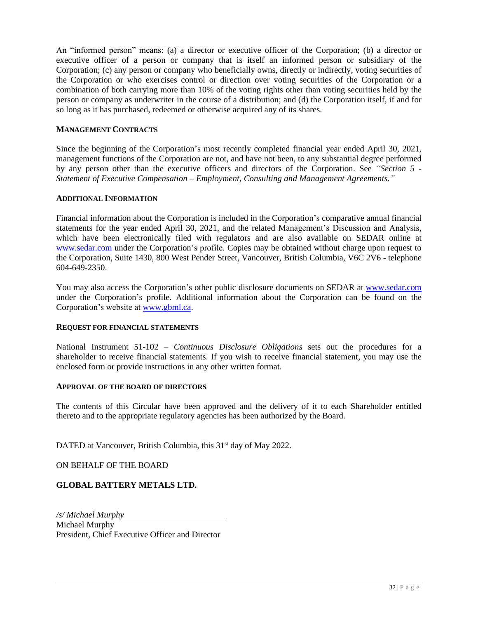An "informed person" means: (a) a director or executive officer of the Corporation; (b) a director or executive officer of a person or company that is itself an informed person or subsidiary of the Corporation; (c) any person or company who beneficially owns, directly or indirectly, voting securities of the Corporation or who exercises control or direction over voting securities of the Corporation or a combination of both carrying more than 10% of the voting rights other than voting securities held by the person or company as underwriter in the course of a distribution; and (d) the Corporation itself, if and for so long as it has purchased, redeemed or otherwise acquired any of its shares.

# **MANAGEMENT CONTRACTS**

Since the beginning of the Corporation's most recently completed financial year ended April 30, 2021, management functions of the Corporation are not, and have not been, to any substantial degree performed by any person other than the executive officers and directors of the Corporation. See *"Section 5 - Statement of Executive Compensation – Employment, Consulting and Management Agreements."*

### **ADDITIONAL INFORMATION**

Financial information about the Corporation is included in the Corporation's comparative annual financial statements for the year ended April 30, 2021, and the related Management's Discussion and Analysis, which have been electronically filed with regulators and are also available on SEDAR online at [www.sedar.com](http://www.sedar.com/) under the Corporation's profile. Copies may be obtained without charge upon request to the Corporation, Suite 1430, 800 West Pender Street, Vancouver, British Columbia, V6C 2V6 - telephone 604-649-2350.

You may also access the Corporation's other public disclosure documents on SEDAR at [www.sedar.com](http://www.sedar.com/) under the Corporation's profile. Additional information about the Corporation can be found on the Corporation's website at [www.gbml.ca.](http://www.gbml.ca/)

# **REQUEST FOR FINANCIAL STATEMENTS**

National Instrument 51-102 – *Continuous Disclosure Obligations* sets out the procedures for a shareholder to receive financial statements. If you wish to receive financial statement, you may use the enclosed form or provide instructions in any other written format.

### **APPROVAL OF THE BOARD OF DIRECTORS**

The contents of this Circular have been approved and the delivery of it to each Shareholder entitled thereto and to the appropriate regulatory agencies has been authorized by the Board.

DATED at Vancouver, British Columbia, this 31<sup>st</sup> day of May 2022.

ON BEHALF OF THE BOARD

# **GLOBAL BATTERY METALS LTD.**

*/s/ Michael Murphy* Michael Murphy President, Chief Executive Officer and Director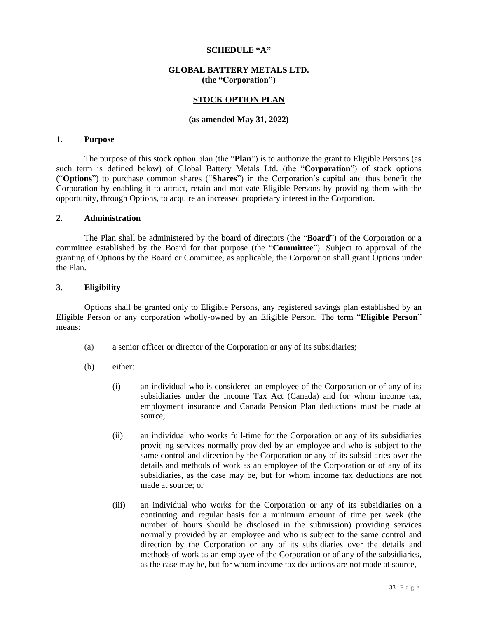### **SCHEDULE "A"**

#### **GLOBAL BATTERY METALS LTD. (the "Corporation")**

### **STOCK OPTION PLAN**

#### **(as amended May 31, 2022)**

#### **1. Purpose**

The purpose of this stock option plan (the "**Plan**") is to authorize the grant to Eligible Persons (as such term is defined below) of Global Battery Metals Ltd. (the "**Corporation**") of stock options ("**Options**") to purchase common shares ("**Shares**") in the Corporation's capital and thus benefit the Corporation by enabling it to attract, retain and motivate Eligible Persons by providing them with the opportunity, through Options, to acquire an increased proprietary interest in the Corporation.

#### **2. Administration**

The Plan shall be administered by the board of directors (the "**Board**") of the Corporation or a committee established by the Board for that purpose (the "**Committee**"). Subject to approval of the granting of Options by the Board or Committee, as applicable, the Corporation shall grant Options under the Plan.

#### **3. Eligibility**

Options shall be granted only to Eligible Persons, any registered savings plan established by an Eligible Person or any corporation wholly-owned by an Eligible Person. The term "**Eligible Person**" means:

- (a) a senior officer or director of the Corporation or any of its subsidiaries;
- (b) either:
	- (i) an individual who is considered an employee of the Corporation or of any of its subsidiaries under the Income Tax Act (Canada) and for whom income tax, employment insurance and Canada Pension Plan deductions must be made at source;
	- (ii) an individual who works full-time for the Corporation or any of its subsidiaries providing services normally provided by an employee and who is subject to the same control and direction by the Corporation or any of its subsidiaries over the details and methods of work as an employee of the Corporation or of any of its subsidiaries, as the case may be, but for whom income tax deductions are not made at source; or
	- (iii) an individual who works for the Corporation or any of its subsidiaries on a continuing and regular basis for a minimum amount of time per week (the number of hours should be disclosed in the submission) providing services normally provided by an employee and who is subject to the same control and direction by the Corporation or any of its subsidiaries over the details and methods of work as an employee of the Corporation or of any of the subsidiaries, as the case may be, but for whom income tax deductions are not made at source,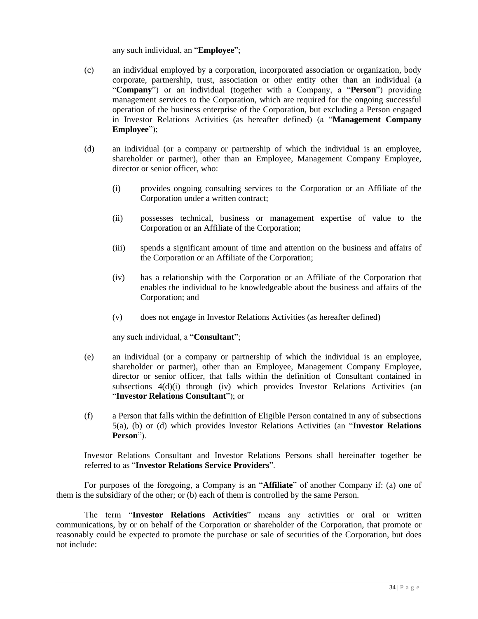any such individual, an "**Employee**";

- (c) an individual employed by a corporation, incorporated association or organization, body corporate, partnership, trust, association or other entity other than an individual (a "**Company**") or an individual (together with a Company, a "**Person**") providing management services to the Corporation, which are required for the ongoing successful operation of the business enterprise of the Corporation, but excluding a Person engaged in Investor Relations Activities (as hereafter defined) (a "**Management Company Employee**");
- (d) an individual (or a company or partnership of which the individual is an employee, shareholder or partner), other than an Employee, Management Company Employee, director or senior officer, who:
	- (i) provides ongoing consulting services to the Corporation or an Affiliate of the Corporation under a written contract;
	- (ii) possesses technical, business or management expertise of value to the Corporation or an Affiliate of the Corporation;
	- (iii) spends a significant amount of time and attention on the business and affairs of the Corporation or an Affiliate of the Corporation;
	- (iv) has a relationship with the Corporation or an Affiliate of the Corporation that enables the individual to be knowledgeable about the business and affairs of the Corporation; and
	- (v) does not engage in Investor Relations Activities (as hereafter defined)

any such individual, a "**Consultant**";

- (e) an individual (or a company or partnership of which the individual is an employee, shareholder or partner), other than an Employee, Management Company Employee, director or senior officer, that falls within the definition of Consultant contained in subsections  $4(d)(i)$  through (iv) which provides Investor Relations Activities (an "**Investor Relations Consultant**"); or
- (f) a Person that falls within the definition of Eligible Person contained in any of subsections 5(a), (b) or (d) which provides Investor Relations Activities (an "**Investor Relations Person**").

Investor Relations Consultant and Investor Relations Persons shall hereinafter together be referred to as "**Investor Relations Service Providers**".

For purposes of the foregoing, a Company is an "**Affiliate**" of another Company if: (a) one of them is the subsidiary of the other; or (b) each of them is controlled by the same Person.

The term "**Investor Relations Activities**" means any activities or oral or written communications, by or on behalf of the Corporation or shareholder of the Corporation, that promote or reasonably could be expected to promote the purchase or sale of securities of the Corporation, but does not include: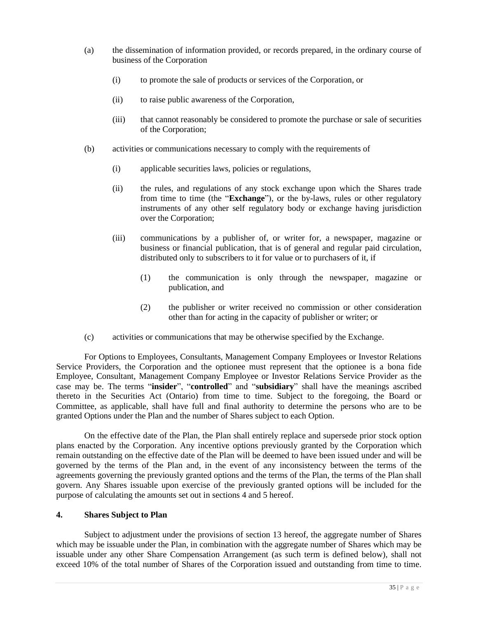- (a) the dissemination of information provided, or records prepared, in the ordinary course of business of the Corporation
	- (i) to promote the sale of products or services of the Corporation, or
	- (ii) to raise public awareness of the Corporation,
	- (iii) that cannot reasonably be considered to promote the purchase or sale of securities of the Corporation;
- (b) activities or communications necessary to comply with the requirements of
	- (i) applicable securities laws, policies or regulations,
	- (ii) the rules, and regulations of any stock exchange upon which the Shares trade from time to time (the "**Exchange**"), or the by-laws, rules or other regulatory instruments of any other self regulatory body or exchange having jurisdiction over the Corporation;
	- (iii) communications by a publisher of, or writer for, a newspaper, magazine or business or financial publication, that is of general and regular paid circulation, distributed only to subscribers to it for value or to purchasers of it, if
		- (1) the communication is only through the newspaper, magazine or publication, and
		- (2) the publisher or writer received no commission or other consideration other than for acting in the capacity of publisher or writer; or
- (c) activities or communications that may be otherwise specified by the Exchange.

For Options to Employees, Consultants, Management Company Employees or Investor Relations Service Providers, the Corporation and the optionee must represent that the optionee is a bona fide Employee, Consultant, Management Company Employee or Investor Relations Service Provider as the case may be. The terms "**insider**", "**controlled**" and "**subsidiary**" shall have the meanings ascribed thereto in the Securities Act (Ontario) from time to time. Subject to the foregoing, the Board or Committee, as applicable, shall have full and final authority to determine the persons who are to be granted Options under the Plan and the number of Shares subject to each Option.

On the effective date of the Plan, the Plan shall entirely replace and supersede prior stock option plans enacted by the Corporation. Any incentive options previously granted by the Corporation which remain outstanding on the effective date of the Plan will be deemed to have been issued under and will be governed by the terms of the Plan and, in the event of any inconsistency between the terms of the agreements governing the previously granted options and the terms of the Plan, the terms of the Plan shall govern. Any Shares issuable upon exercise of the previously granted options will be included for the purpose of calculating the amounts set out in sections 4 and 5 hereof.

### **4. Shares Subject to Plan**

Subject to adjustment under the provisions of section 13 hereof, the aggregate number of Shares which may be issuable under the Plan, in combination with the aggregate number of Shares which may be issuable under any other Share Compensation Arrangement (as such term is defined below), shall not exceed 10% of the total number of Shares of the Corporation issued and outstanding from time to time.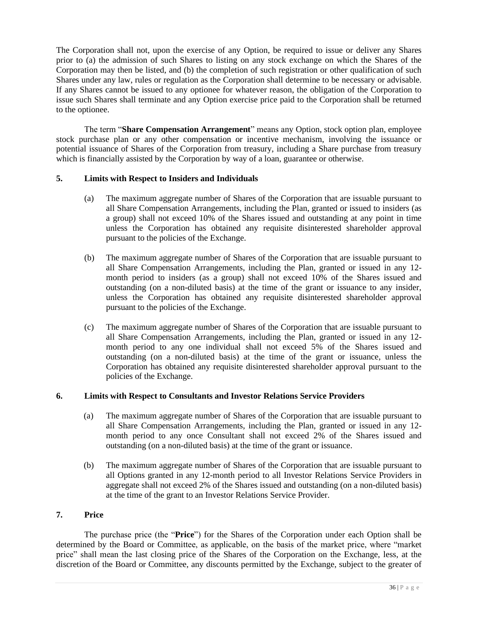The Corporation shall not, upon the exercise of any Option, be required to issue or deliver any Shares prior to (a) the admission of such Shares to listing on any stock exchange on which the Shares of the Corporation may then be listed, and (b) the completion of such registration or other qualification of such Shares under any law, rules or regulation as the Corporation shall determine to be necessary or advisable. If any Shares cannot be issued to any optionee for whatever reason, the obligation of the Corporation to issue such Shares shall terminate and any Option exercise price paid to the Corporation shall be returned to the optionee.

The term "**Share Compensation Arrangement**" means any Option, stock option plan, employee stock purchase plan or any other compensation or incentive mechanism, involving the issuance or potential issuance of Shares of the Corporation from treasury, including a Share purchase from treasury which is financially assisted by the Corporation by way of a loan, guarantee or otherwise.

# **5. Limits with Respect to Insiders and Individuals**

- (a) The maximum aggregate number of Shares of the Corporation that are issuable pursuant to all Share Compensation Arrangements, including the Plan, granted or issued to insiders (as a group) shall not exceed 10% of the Shares issued and outstanding at any point in time unless the Corporation has obtained any requisite disinterested shareholder approval pursuant to the policies of the Exchange.
- (b) The maximum aggregate number of Shares of the Corporation that are issuable pursuant to all Share Compensation Arrangements, including the Plan, granted or issued in any 12 month period to insiders (as a group) shall not exceed 10% of the Shares issued and outstanding (on a non-diluted basis) at the time of the grant or issuance to any insider, unless the Corporation has obtained any requisite disinterested shareholder approval pursuant to the policies of the Exchange.
- (c) The maximum aggregate number of Shares of the Corporation that are issuable pursuant to all Share Compensation Arrangements, including the Plan, granted or issued in any 12 month period to any one individual shall not exceed 5% of the Shares issued and outstanding (on a non-diluted basis) at the time of the grant or issuance, unless the Corporation has obtained any requisite disinterested shareholder approval pursuant to the policies of the Exchange.

# **6. Limits with Respect to Consultants and Investor Relations Service Providers**

- (a) The maximum aggregate number of Shares of the Corporation that are issuable pursuant to all Share Compensation Arrangements, including the Plan, granted or issued in any 12 month period to any once Consultant shall not exceed 2% of the Shares issued and outstanding (on a non-diluted basis) at the time of the grant or issuance.
- (b) The maximum aggregate number of Shares of the Corporation that are issuable pursuant to all Options granted in any 12-month period to all Investor Relations Service Providers in aggregate shall not exceed 2% of the Shares issued and outstanding (on a non-diluted basis) at the time of the grant to an Investor Relations Service Provider.

### **7. Price**

The purchase price (the "**Price**") for the Shares of the Corporation under each Option shall be determined by the Board or Committee, as applicable, on the basis of the market price, where "market price" shall mean the last closing price of the Shares of the Corporation on the Exchange, less, at the discretion of the Board or Committee, any discounts permitted by the Exchange, subject to the greater of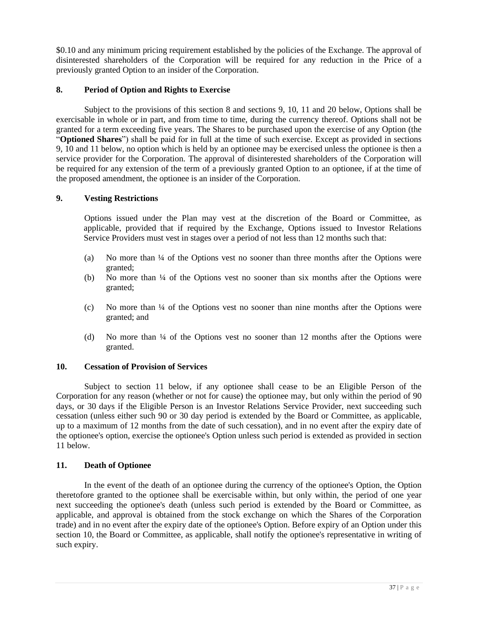\$0.10 and any minimum pricing requirement established by the policies of the Exchange. The approval of disinterested shareholders of the Corporation will be required for any reduction in the Price of a previously granted Option to an insider of the Corporation.

# **8. Period of Option and Rights to Exercise**

Subject to the provisions of this section 8 and sections 9, 10, 11 and 20 below, Options shall be exercisable in whole or in part, and from time to time, during the currency thereof. Options shall not be granted for a term exceeding five years. The Shares to be purchased upon the exercise of any Option (the "**Optioned Shares**") shall be paid for in full at the time of such exercise. Except as provided in sections 9, 10 and 11 below, no option which is held by an optionee may be exercised unless the optionee is then a service provider for the Corporation. The approval of disinterested shareholders of the Corporation will be required for any extension of the term of a previously granted Option to an optionee, if at the time of the proposed amendment, the optionee is an insider of the Corporation.

# **9. Vesting Restrictions**

Options issued under the Plan may vest at the discretion of the Board or Committee, as applicable, provided that if required by the Exchange, Options issued to Investor Relations Service Providers must vest in stages over a period of not less than 12 months such that:

- (a) No more than ¼ of the Options vest no sooner than three months after the Options were granted;
- (b) No more than ¼ of the Options vest no sooner than six months after the Options were granted;
- (c) No more than ¼ of the Options vest no sooner than nine months after the Options were granted; and
- (d) No more than ¼ of the Options vest no sooner than 12 months after the Options were granted.

# **10. Cessation of Provision of Services**

Subject to section 11 below, if any optionee shall cease to be an Eligible Person of the Corporation for any reason (whether or not for cause) the optionee may, but only within the period of 90 days, or 30 days if the Eligible Person is an Investor Relations Service Provider, next succeeding such cessation (unless either such 90 or 30 day period is extended by the Board or Committee, as applicable, up to a maximum of 12 months from the date of such cessation), and in no event after the expiry date of the optionee's option, exercise the optionee's Option unless such period is extended as provided in section 11 below.

# **11. Death of Optionee**

In the event of the death of an optionee during the currency of the optionee's Option, the Option theretofore granted to the optionee shall be exercisable within, but only within, the period of one year next succeeding the optionee's death (unless such period is extended by the Board or Committee, as applicable, and approval is obtained from the stock exchange on which the Shares of the Corporation trade) and in no event after the expiry date of the optionee's Option. Before expiry of an Option under this section 10, the Board or Committee, as applicable, shall notify the optionee's representative in writing of such expiry.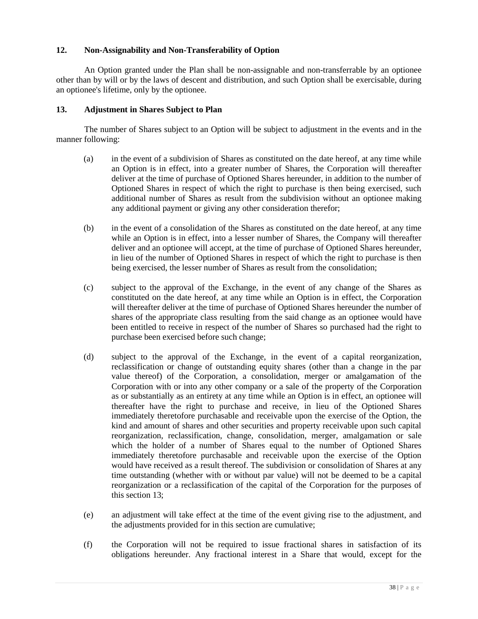# **12. Non-Assignability and Non-Transferability of Option**

An Option granted under the Plan shall be non-assignable and non-transferrable by an optionee other than by will or by the laws of descent and distribution, and such Option shall be exercisable, during an optionee's lifetime, only by the optionee.

# **13. Adjustment in Shares Subject to Plan**

The number of Shares subject to an Option will be subject to adjustment in the events and in the manner following:

- (a) in the event of a subdivision of Shares as constituted on the date hereof, at any time while an Option is in effect, into a greater number of Shares, the Corporation will thereafter deliver at the time of purchase of Optioned Shares hereunder, in addition to the number of Optioned Shares in respect of which the right to purchase is then being exercised, such additional number of Shares as result from the subdivision without an optionee making any additional payment or giving any other consideration therefor;
- (b) in the event of a consolidation of the Shares as constituted on the date hereof, at any time while an Option is in effect, into a lesser number of Shares, the Company will thereafter deliver and an optionee will accept, at the time of purchase of Optioned Shares hereunder, in lieu of the number of Optioned Shares in respect of which the right to purchase is then being exercised, the lesser number of Shares as result from the consolidation;
- (c) subject to the approval of the Exchange, in the event of any change of the Shares as constituted on the date hereof, at any time while an Option is in effect, the Corporation will thereafter deliver at the time of purchase of Optioned Shares hereunder the number of shares of the appropriate class resulting from the said change as an optionee would have been entitled to receive in respect of the number of Shares so purchased had the right to purchase been exercised before such change;
- (d) subject to the approval of the Exchange, in the event of a capital reorganization, reclassification or change of outstanding equity shares (other than a change in the par value thereof) of the Corporation, a consolidation, merger or amalgamation of the Corporation with or into any other company or a sale of the property of the Corporation as or substantially as an entirety at any time while an Option is in effect, an optionee will thereafter have the right to purchase and receive, in lieu of the Optioned Shares immediately theretofore purchasable and receivable upon the exercise of the Option, the kind and amount of shares and other securities and property receivable upon such capital reorganization, reclassification, change, consolidation, merger, amalgamation or sale which the holder of a number of Shares equal to the number of Optioned Shares immediately theretofore purchasable and receivable upon the exercise of the Option would have received as a result thereof. The subdivision or consolidation of Shares at any time outstanding (whether with or without par value) will not be deemed to be a capital reorganization or a reclassification of the capital of the Corporation for the purposes of this section 13;
- (e) an adjustment will take effect at the time of the event giving rise to the adjustment, and the adjustments provided for in this section are cumulative;
- (f) the Corporation will not be required to issue fractional shares in satisfaction of its obligations hereunder. Any fractional interest in a Share that would, except for the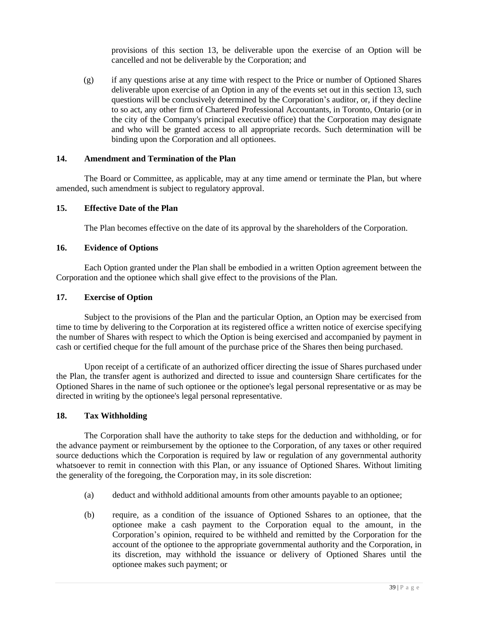provisions of this section 13, be deliverable upon the exercise of an Option will be cancelled and not be deliverable by the Corporation; and

(g) if any questions arise at any time with respect to the Price or number of Optioned Shares deliverable upon exercise of an Option in any of the events set out in this section 13, such questions will be conclusively determined by the Corporation's auditor, or, if they decline to so act, any other firm of Chartered Professional Accountants, in Toronto, Ontario (or in the city of the Company's principal executive office) that the Corporation may designate and who will be granted access to all appropriate records. Such determination will be binding upon the Corporation and all optionees.

# **14. Amendment and Termination of the Plan**

The Board or Committee, as applicable, may at any time amend or terminate the Plan, but where amended, such amendment is subject to regulatory approval.

### **15. Effective Date of the Plan**

The Plan becomes effective on the date of its approval by the shareholders of the Corporation.

### **16. Evidence of Options**

Each Option granted under the Plan shall be embodied in a written Option agreement between the Corporation and the optionee which shall give effect to the provisions of the Plan.

### **17. Exercise of Option**

Subject to the provisions of the Plan and the particular Option, an Option may be exercised from time to time by delivering to the Corporation at its registered office a written notice of exercise specifying the number of Shares with respect to which the Option is being exercised and accompanied by payment in cash or certified cheque for the full amount of the purchase price of the Shares then being purchased.

Upon receipt of a certificate of an authorized officer directing the issue of Shares purchased under the Plan, the transfer agent is authorized and directed to issue and countersign Share certificates for the Optioned Shares in the name of such optionee or the optionee's legal personal representative or as may be directed in writing by the optionee's legal personal representative.

#### **18. Tax Withholding**

The Corporation shall have the authority to take steps for the deduction and withholding, or for the advance payment or reimbursement by the optionee to the Corporation, of any taxes or other required source deductions which the Corporation is required by law or regulation of any governmental authority whatsoever to remit in connection with this Plan, or any issuance of Optioned Shares. Without limiting the generality of the foregoing, the Corporation may, in its sole discretion:

- (a) deduct and withhold additional amounts from other amounts payable to an optionee;
- (b) require, as a condition of the issuance of Optioned Sshares to an optionee, that the optionee make a cash payment to the Corporation equal to the amount, in the Corporation's opinion, required to be withheld and remitted by the Corporation for the account of the optionee to the appropriate governmental authority and the Corporation, in its discretion, may withhold the issuance or delivery of Optioned Shares until the optionee makes such payment; or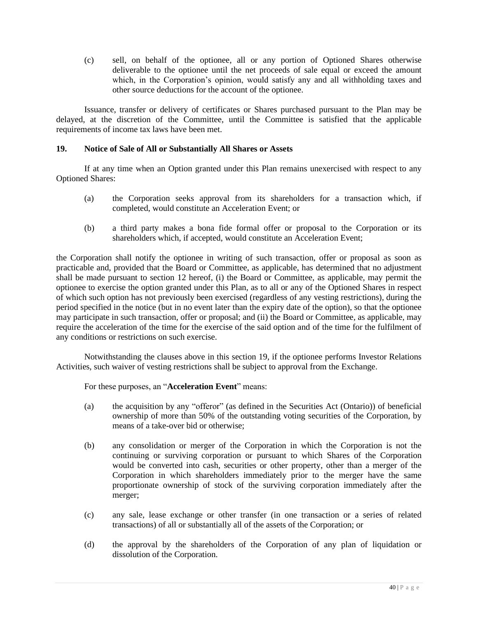(c) sell, on behalf of the optionee, all or any portion of Optioned Shares otherwise deliverable to the optionee until the net proceeds of sale equal or exceed the amount which, in the Corporation's opinion, would satisfy any and all withholding taxes and other source deductions for the account of the optionee.

Issuance, transfer or delivery of certificates or Shares purchased pursuant to the Plan may be delayed, at the discretion of the Committee, until the Committee is satisfied that the applicable requirements of income tax laws have been met.

# **19. Notice of Sale of All or Substantially All Shares or Assets**

If at any time when an Option granted under this Plan remains unexercised with respect to any Optioned Shares:

- (a) the Corporation seeks approval from its shareholders for a transaction which, if completed, would constitute an Acceleration Event; or
- (b) a third party makes a bona fide formal offer or proposal to the Corporation or its shareholders which, if accepted, would constitute an Acceleration Event;

the Corporation shall notify the optionee in writing of such transaction, offer or proposal as soon as practicable and, provided that the Board or Committee, as applicable, has determined that no adjustment shall be made pursuant to section 12 hereof, (i) the Board or Committee, as applicable, may permit the optionee to exercise the option granted under this Plan, as to all or any of the Optioned Shares in respect of which such option has not previously been exercised (regardless of any vesting restrictions), during the period specified in the notice (but in no event later than the expiry date of the option), so that the optionee may participate in such transaction, offer or proposal; and (ii) the Board or Committee, as applicable, may require the acceleration of the time for the exercise of the said option and of the time for the fulfilment of any conditions or restrictions on such exercise.

Notwithstanding the clauses above in this section 19, if the optionee performs Investor Relations Activities, such waiver of vesting restrictions shall be subject to approval from the Exchange.

For these purposes, an "**Acceleration Event**" means:

- (a) the acquisition by any "offeror" (as defined in the Securities Act (Ontario)) of beneficial ownership of more than 50% of the outstanding voting securities of the Corporation, by means of a take-over bid or otherwise;
- (b) any consolidation or merger of the Corporation in which the Corporation is not the continuing or surviving corporation or pursuant to which Shares of the Corporation would be converted into cash, securities or other property, other than a merger of the Corporation in which shareholders immediately prior to the merger have the same proportionate ownership of stock of the surviving corporation immediately after the merger;
- (c) any sale, lease exchange or other transfer (in one transaction or a series of related transactions) of all or substantially all of the assets of the Corporation; or
- (d) the approval by the shareholders of the Corporation of any plan of liquidation or dissolution of the Corporation.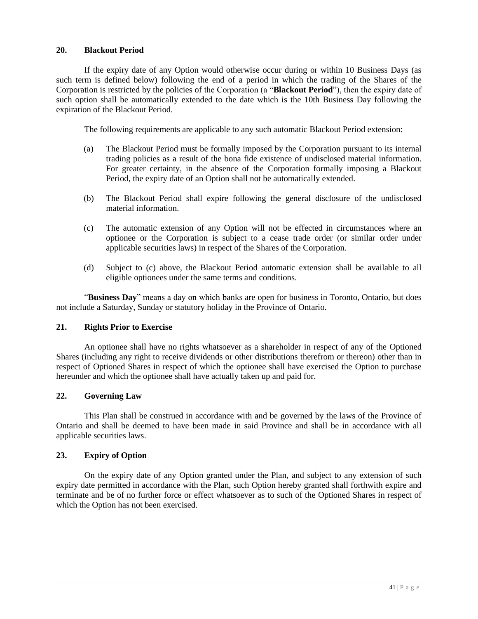# **20. Blackout Period**

If the expiry date of any Option would otherwise occur during or within 10 Business Days (as such term is defined below) following the end of a period in which the trading of the Shares of the Corporation is restricted by the policies of the Corporation (a "**Blackout Period**"), then the expiry date of such option shall be automatically extended to the date which is the 10th Business Day following the expiration of the Blackout Period.

The following requirements are applicable to any such automatic Blackout Period extension:

- (a) The Blackout Period must be formally imposed by the Corporation pursuant to its internal trading policies as a result of the bona fide existence of undisclosed material information. For greater certainty, in the absence of the Corporation formally imposing a Blackout Period, the expiry date of an Option shall not be automatically extended.
- (b) The Blackout Period shall expire following the general disclosure of the undisclosed material information.
- (c) The automatic extension of any Option will not be effected in circumstances where an optionee or the Corporation is subject to a cease trade order (or similar order under applicable securities laws) in respect of the Shares of the Corporation.
- (d) Subject to (c) above, the Blackout Period automatic extension shall be available to all eligible optionees under the same terms and conditions.

"**Business Day**" means a day on which banks are open for business in Toronto, Ontario, but does not include a Saturday, Sunday or statutory holiday in the Province of Ontario.

# **21. Rights Prior to Exercise**

An optionee shall have no rights whatsoever as a shareholder in respect of any of the Optioned Shares (including any right to receive dividends or other distributions therefrom or thereon) other than in respect of Optioned Shares in respect of which the optionee shall have exercised the Option to purchase hereunder and which the optionee shall have actually taken up and paid for.

# **22. Governing Law**

This Plan shall be construed in accordance with and be governed by the laws of the Province of Ontario and shall be deemed to have been made in said Province and shall be in accordance with all applicable securities laws.

# **23. Expiry of Option**

On the expiry date of any Option granted under the Plan, and subject to any extension of such expiry date permitted in accordance with the Plan, such Option hereby granted shall forthwith expire and terminate and be of no further force or effect whatsoever as to such of the Optioned Shares in respect of which the Option has not been exercised.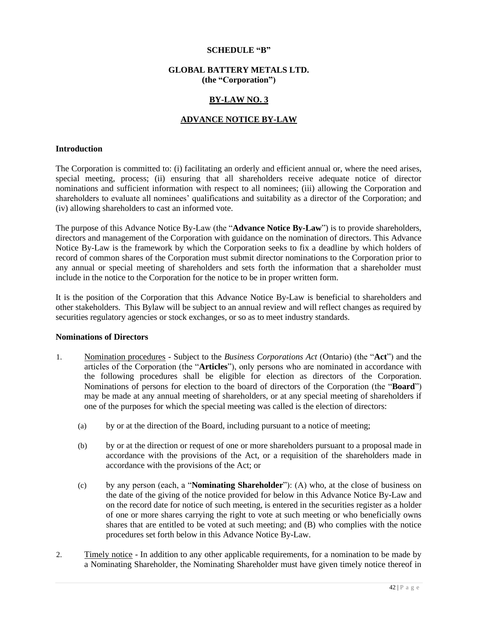#### **SCHEDULE "B"**

### **GLOBAL BATTERY METALS LTD. (the "Corporation")**

### **BY-LAW NO. 3**

### **ADVANCE NOTICE BY-LAW**

#### **Introduction**

The Corporation is committed to: (i) facilitating an orderly and efficient annual or, where the need arises, special meeting, process; (ii) ensuring that all shareholders receive adequate notice of director nominations and sufficient information with respect to all nominees; (iii) allowing the Corporation and shareholders to evaluate all nominees' qualifications and suitability as a director of the Corporation; and (iv) allowing shareholders to cast an informed vote.

The purpose of this Advance Notice By-Law (the "**Advance Notice By-Law**") is to provide shareholders, directors and management of the Corporation with guidance on the nomination of directors. This Advance Notice By-Law is the framework by which the Corporation seeks to fix a deadline by which holders of record of common shares of the Corporation must submit director nominations to the Corporation prior to any annual or special meeting of shareholders and sets forth the information that a shareholder must include in the notice to the Corporation for the notice to be in proper written form.

It is the position of the Corporation that this Advance Notice By-Law is beneficial to shareholders and other stakeholders. This Bylaw will be subject to an annual review and will reflect changes as required by securities regulatory agencies or stock exchanges, or so as to meet industry standards.

#### **Nominations of Directors**

- 1. Nomination procedures Subject to the *Business Corporations Act* (Ontario) (the "**Act**") and the articles of the Corporation (the "**Articles**"), only persons who are nominated in accordance with the following procedures shall be eligible for election as directors of the Corporation. Nominations of persons for election to the board of directors of the Corporation (the "**Board**") may be made at any annual meeting of shareholders, or at any special meeting of shareholders if one of the purposes for which the special meeting was called is the election of directors:
	- (a) by or at the direction of the Board, including pursuant to a notice of meeting;
	- (b) by or at the direction or request of one or more shareholders pursuant to a proposal made in accordance with the provisions of the Act, or a requisition of the shareholders made in accordance with the provisions of the Act; or
	- (c) by any person (each, a "**Nominating Shareholder**"): (A) who, at the close of business on the date of the giving of the notice provided for below in this Advance Notice By-Law and on the record date for notice of such meeting, is entered in the securities register as a holder of one or more shares carrying the right to vote at such meeting or who beneficially owns shares that are entitled to be voted at such meeting; and (B) who complies with the notice procedures set forth below in this Advance Notice By-Law.
- 2. Timely notice In addition to any other applicable requirements, for a nomination to be made by a Nominating Shareholder, the Nominating Shareholder must have given timely notice thereof in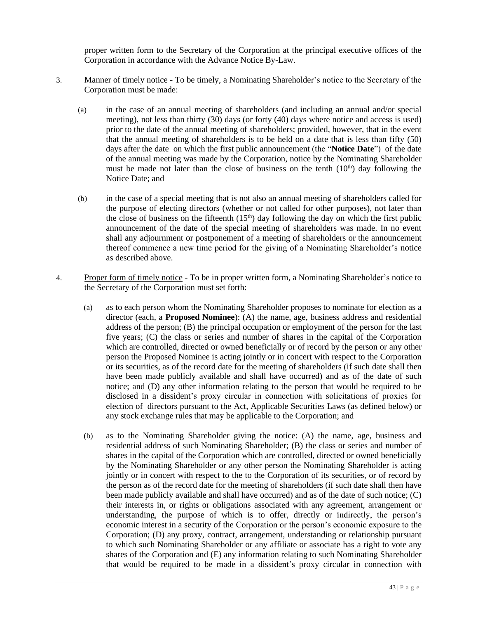proper written form to the Secretary of the Corporation at the principal executive offices of the Corporation in accordance with the Advance Notice By-Law.

- 3. Manner of timely notice To be timely, a Nominating Shareholder's notice to the Secretary of the Corporation must be made:
	- (a) in the case of an annual meeting of shareholders (and including an annual and/or special meeting), not less than thirty (30) days (or forty (40) days where notice and access is used) prior to the date of the annual meeting of shareholders; provided, however, that in the event that the annual meeting of shareholders is to be held on a date that is less than fifty (50) days after the date on which the first public announcement (the "**Notice Date**") of the date of the annual meeting was made by the Corporation, notice by the Nominating Shareholder must be made not later than the close of business on the tenth  $(10<sup>th</sup>)$  day following the Notice Date; and
	- (b) in the case of a special meeting that is not also an annual meeting of shareholders called for the purpose of electing directors (whether or not called for other purposes), not later than the close of business on the fifteenth  $(15<sup>th</sup>)$  day following the day on which the first public announcement of the date of the special meeting of shareholders was made. In no event shall any adjournment or postponement of a meeting of shareholders or the announcement thereof commence a new time period for the giving of a Nominating Shareholder's notice as described above.
- 4. Proper form of timely notice To be in proper written form, a Nominating Shareholder's notice to the Secretary of the Corporation must set forth:
	- (a) as to each person whom the Nominating Shareholder proposes to nominate for election as a director (each, a **Proposed Nominee**): (A) the name, age, business address and residential address of the person; (B) the principal occupation or employment of the person for the last five years; (C) the class or series and number of shares in the capital of the Corporation which are controlled, directed or owned beneficially or of record by the person or any other person the Proposed Nominee is acting jointly or in concert with respect to the Corporation or its securities, as of the record date for the meeting of shareholders (if such date shall then have been made publicly available and shall have occurred) and as of the date of such notice; and (D) any other information relating to the person that would be required to be disclosed in a dissident's proxy circular in connection with solicitations of proxies for election of directors pursuant to the Act, Applicable Securities Laws (as defined below) or any stock exchange rules that may be applicable to the Corporation; and
	- (b) as to the Nominating Shareholder giving the notice: (A) the name, age, business and residential address of such Nominating Shareholder; (B) the class or series and number of shares in the capital of the Corporation which are controlled, directed or owned beneficially by the Nominating Shareholder or any other person the Nominating Shareholder is acting jointly or in concert with respect to the to the Corporation of its securities, or of record by the person as of the record date for the meeting of shareholders (if such date shall then have been made publicly available and shall have occurred) and as of the date of such notice; (C) their interests in, or rights or obligations associated with any agreement, arrangement or understanding, the purpose of which is to offer, directly or indirectly, the person's economic interest in a security of the Corporation or the person's economic exposure to the Corporation; (D) any proxy, contract, arrangement, understanding or relationship pursuant to which such Nominating Shareholder or any affiliate or associate has a right to vote any shares of the Corporation and (E) any information relating to such Nominating Shareholder that would be required to be made in a dissident's proxy circular in connection with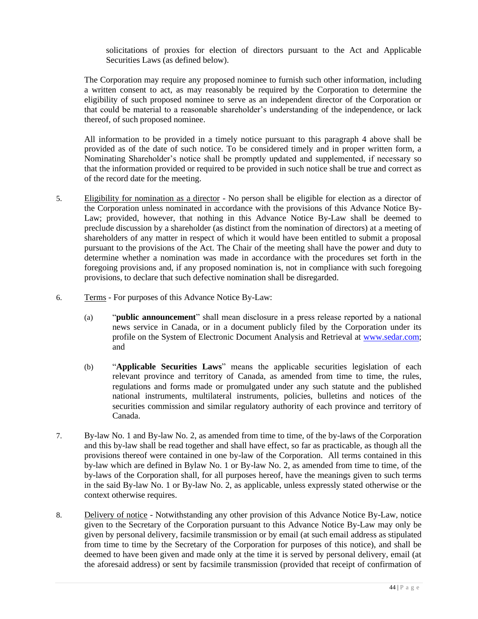solicitations of proxies for election of directors pursuant to the Act and Applicable Securities Laws (as defined below).

The Corporation may require any proposed nominee to furnish such other information, including a written consent to act, as may reasonably be required by the Corporation to determine the eligibility of such proposed nominee to serve as an independent director of the Corporation or that could be material to a reasonable shareholder's understanding of the independence, or lack thereof, of such proposed nominee.

All information to be provided in a timely notice pursuant to this paragraph 4 above shall be provided as of the date of such notice. To be considered timely and in proper written form, a Nominating Shareholder's notice shall be promptly updated and supplemented, if necessary so that the information provided or required to be provided in such notice shall be true and correct as of the record date for the meeting.

- 5. Eligibility for nomination as a director No person shall be eligible for election as a director of the Corporation unless nominated in accordance with the provisions of this Advance Notice By-Law; provided, however, that nothing in this Advance Notice By-Law shall be deemed to preclude discussion by a shareholder (as distinct from the nomination of directors) at a meeting of shareholders of any matter in respect of which it would have been entitled to submit a proposal pursuant to the provisions of the Act. The Chair of the meeting shall have the power and duty to determine whether a nomination was made in accordance with the procedures set forth in the foregoing provisions and, if any proposed nomination is, not in compliance with such foregoing provisions, to declare that such defective nomination shall be disregarded.
- 6. Terms For purposes of this Advance Notice By-Law:
	- (a) "**public announcement**" shall mean disclosure in a press release reported by a national news service in Canada, or in a document publicly filed by the Corporation under its profile on the System of Electronic Document Analysis and Retrieval at [www.sedar.com;](http://www.sedar.com/) and
	- (b) "**Applicable Securities Laws**" means the applicable securities legislation of each relevant province and territory of Canada, as amended from time to time, the rules, regulations and forms made or promulgated under any such statute and the published national instruments, multilateral instruments, policies, bulletins and notices of the securities commission and similar regulatory authority of each province and territory of Canada.
- 7. By-law No. 1 and By-law No. 2, as amended from time to time, of the by-laws of the Corporation and this by-law shall be read together and shall have effect, so far as practicable, as though all the provisions thereof were contained in one by-law of the Corporation. All terms contained in this by-law which are defined in Bylaw No. 1 or By-law No. 2, as amended from time to time, of the by-laws of the Corporation shall, for all purposes hereof, have the meanings given to such terms in the said By-law No. 1 or By-law No. 2, as applicable, unless expressly stated otherwise or the context otherwise requires.
- 8. Delivery of notice Notwithstanding any other provision of this Advance Notice By-Law, notice given to the Secretary of the Corporation pursuant to this Advance Notice By-Law may only be given by personal delivery, facsimile transmission or by email (at such email address as stipulated from time to time by the Secretary of the Corporation for purposes of this notice), and shall be deemed to have been given and made only at the time it is served by personal delivery, email (at the aforesaid address) or sent by facsimile transmission (provided that receipt of confirmation of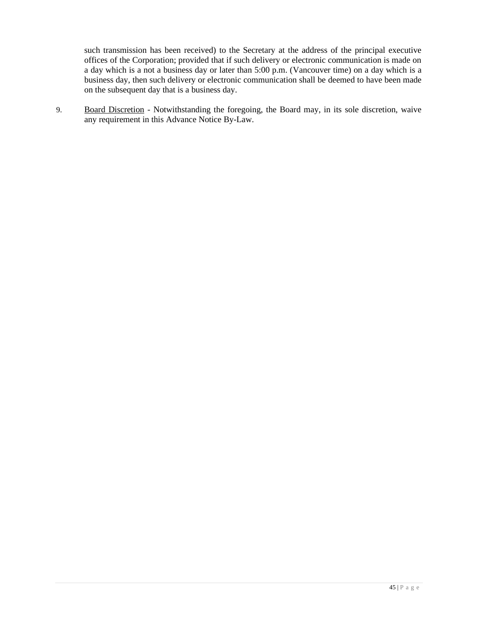such transmission has been received) to the Secretary at the address of the principal executive offices of the Corporation; provided that if such delivery or electronic communication is made on a day which is a not a business day or later than 5:00 p.m. (Vancouver time) on a day which is a business day, then such delivery or electronic communication shall be deemed to have been made on the subsequent day that is a business day.

9. Board Discretion - Notwithstanding the foregoing, the Board may, in its sole discretion, waive any requirement in this Advance Notice By-Law.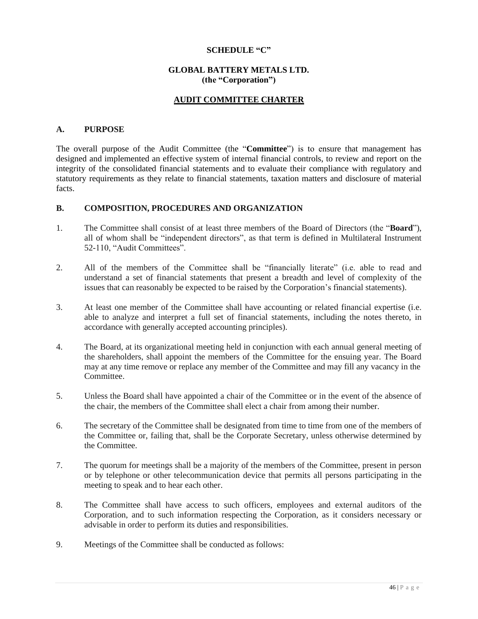### **SCHEDULE "C"**

# **GLOBAL BATTERY METALS LTD. (the "Corporation")**

# **AUDIT COMMITTEE CHARTER**

### **A. PURPOSE**

The overall purpose of the Audit Committee (the "**Committee**") is to ensure that management has designed and implemented an effective system of internal financial controls, to review and report on the integrity of the consolidated financial statements and to evaluate their compliance with regulatory and statutory requirements as they relate to financial statements, taxation matters and disclosure of material facts.

#### **B. COMPOSITION, PROCEDURES AND ORGANIZATION**

- 1. The Committee shall consist of at least three members of the Board of Directors (the "**Board**"), all of whom shall be "independent directors", as that term is defined in Multilateral Instrument 52-110, "Audit Committees".
- 2. All of the members of the Committee shall be "financially literate" (i.e. able to read and understand a set of financial statements that present a breadth and level of complexity of the issues that can reasonably be expected to be raised by the Corporation's financial statements).
- 3. At least one member of the Committee shall have accounting or related financial expertise (i.e. able to analyze and interpret a full set of financial statements, including the notes thereto, in accordance with generally accepted accounting principles).
- 4. The Board, at its organizational meeting held in conjunction with each annual general meeting of the shareholders, shall appoint the members of the Committee for the ensuing year. The Board may at any time remove or replace any member of the Committee and may fill any vacancy in the Committee.
- 5. Unless the Board shall have appointed a chair of the Committee or in the event of the absence of the chair, the members of the Committee shall elect a chair from among their number.
- 6. The secretary of the Committee shall be designated from time to time from one of the members of the Committee or, failing that, shall be the Corporate Secretary, unless otherwise determined by the Committee.
- 7. The quorum for meetings shall be a majority of the members of the Committee, present in person or by telephone or other telecommunication device that permits all persons participating in the meeting to speak and to hear each other.
- 8. The Committee shall have access to such officers, employees and external auditors of the Corporation, and to such information respecting the Corporation, as it considers necessary or advisable in order to perform its duties and responsibilities.
- 9. Meetings of the Committee shall be conducted as follows: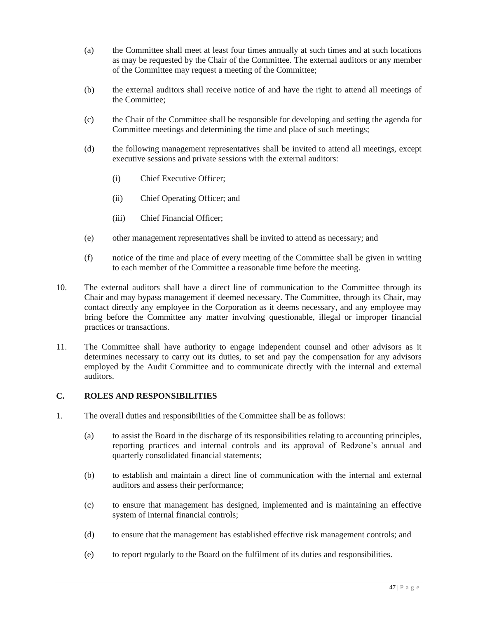- (a) the Committee shall meet at least four times annually at such times and at such locations as may be requested by the Chair of the Committee. The external auditors or any member of the Committee may request a meeting of the Committee;
- (b) the external auditors shall receive notice of and have the right to attend all meetings of the Committee;
- (c) the Chair of the Committee shall be responsible for developing and setting the agenda for Committee meetings and determining the time and place of such meetings;
- (d) the following management representatives shall be invited to attend all meetings, except executive sessions and private sessions with the external auditors:
	- (i) Chief Executive Officer;
	- (ii) Chief Operating Officer; and
	- (iii) Chief Financial Officer;
- (e) other management representatives shall be invited to attend as necessary; and
- (f) notice of the time and place of every meeting of the Committee shall be given in writing to each member of the Committee a reasonable time before the meeting.
- 10. The external auditors shall have a direct line of communication to the Committee through its Chair and may bypass management if deemed necessary. The Committee, through its Chair, may contact directly any employee in the Corporation as it deems necessary, and any employee may bring before the Committee any matter involving questionable, illegal or improper financial practices or transactions.
- 11. The Committee shall have authority to engage independent counsel and other advisors as it determines necessary to carry out its duties, to set and pay the compensation for any advisors employed by the Audit Committee and to communicate directly with the internal and external auditors.

# **C. ROLES AND RESPONSIBILITIES**

- 1. The overall duties and responsibilities of the Committee shall be as follows:
	- (a) to assist the Board in the discharge of its responsibilities relating to accounting principles, reporting practices and internal controls and its approval of Redzone's annual and quarterly consolidated financial statements;
	- (b) to establish and maintain a direct line of communication with the internal and external auditors and assess their performance;
	- (c) to ensure that management has designed, implemented and is maintaining an effective system of internal financial controls;
	- (d) to ensure that the management has established effective risk management controls; and
	- (e) to report regularly to the Board on the fulfilment of its duties and responsibilities.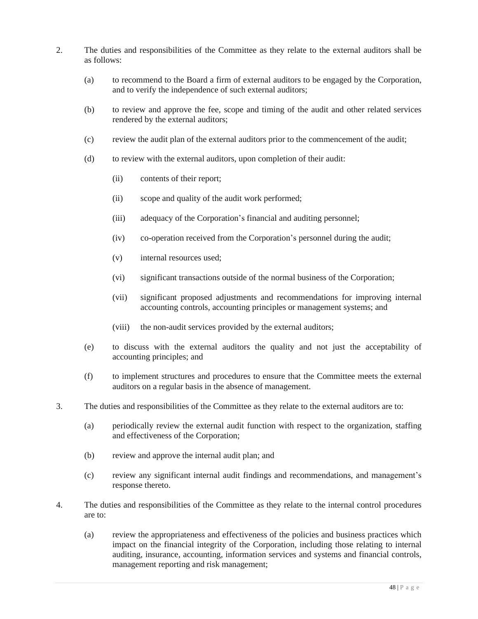- 2. The duties and responsibilities of the Committee as they relate to the external auditors shall be as follows:
	- (a) to recommend to the Board a firm of external auditors to be engaged by the Corporation, and to verify the independence of such external auditors;
	- (b) to review and approve the fee, scope and timing of the audit and other related services rendered by the external auditors;
	- (c) review the audit plan of the external auditors prior to the commencement of the audit;
	- (d) to review with the external auditors, upon completion of their audit:
		- (ii) contents of their report;
		- (ii) scope and quality of the audit work performed;
		- (iii) adequacy of the Corporation's financial and auditing personnel;
		- (iv) co-operation received from the Corporation's personnel during the audit;
		- (v) internal resources used;
		- (vi) significant transactions outside of the normal business of the Corporation;
		- (vii) significant proposed adjustments and recommendations for improving internal accounting controls, accounting principles or management systems; and
		- (viii) the non-audit services provided by the external auditors;
	- (e) to discuss with the external auditors the quality and not just the acceptability of accounting principles; and
	- (f) to implement structures and procedures to ensure that the Committee meets the external auditors on a regular basis in the absence of management.
- 3. The duties and responsibilities of the Committee as they relate to the external auditors are to:
	- (a) periodically review the external audit function with respect to the organization, staffing and effectiveness of the Corporation;
	- (b) review and approve the internal audit plan; and
	- (c) review any significant internal audit findings and recommendations, and management's response thereto.
- 4. The duties and responsibilities of the Committee as they relate to the internal control procedures are to:
	- (a) review the appropriateness and effectiveness of the policies and business practices which impact on the financial integrity of the Corporation, including those relating to internal auditing, insurance, accounting, information services and systems and financial controls, management reporting and risk management;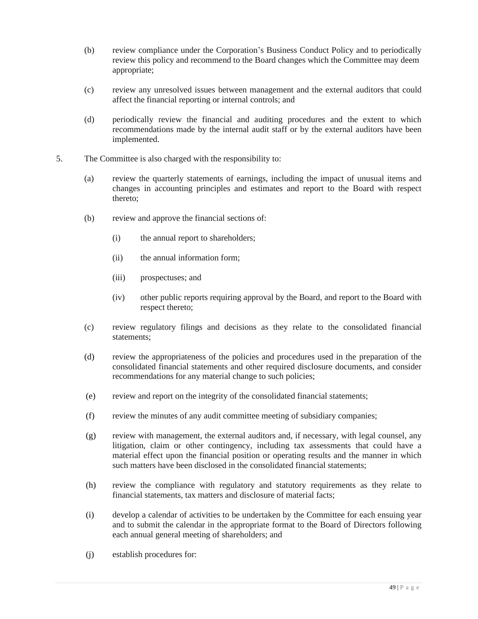- (b) review compliance under the Corporation's Business Conduct Policy and to periodically review this policy and recommend to the Board changes which the Committee may deem appropriate;
- (c) review any unresolved issues between management and the external auditors that could affect the financial reporting or internal controls; and
- (d) periodically review the financial and auditing procedures and the extent to which recommendations made by the internal audit staff or by the external auditors have been implemented.
- 5. The Committee is also charged with the responsibility to:
	- (a) review the quarterly statements of earnings, including the impact of unusual items and changes in accounting principles and estimates and report to the Board with respect thereto;
	- (b) review and approve the financial sections of:
		- (i) the annual report to shareholders;
		- (ii) the annual information form;
		- (iii) prospectuses; and
		- (iv) other public reports requiring approval by the Board, and report to the Board with respect thereto;
	- (c) review regulatory filings and decisions as they relate to the consolidated financial statements;
	- (d) review the appropriateness of the policies and procedures used in the preparation of the consolidated financial statements and other required disclosure documents, and consider recommendations for any material change to such policies;
	- (e) review and report on the integrity of the consolidated financial statements;
	- (f) review the minutes of any audit committee meeting of subsidiary companies;
	- (g) review with management, the external auditors and, if necessary, with legal counsel, any litigation, claim or other contingency, including tax assessments that could have a material effect upon the financial position or operating results and the manner in which such matters have been disclosed in the consolidated financial statements;
	- (h) review the compliance with regulatory and statutory requirements as they relate to financial statements, tax matters and disclosure of material facts;
	- (i) develop a calendar of activities to be undertaken by the Committee for each ensuing year and to submit the calendar in the appropriate format to the Board of Directors following each annual general meeting of shareholders; and
	- (j) establish procedures for: